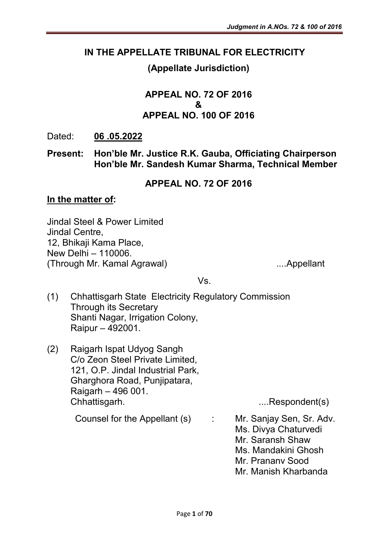### IN THE APPELLATE TRIBUNAL FOR ELECTRICITY

## (Appellate Jurisdiction)

### APPEAL NO. 72 OF 2016 & APPEAL NO. 100 OF 2016

### Dated: 06 .05.2022

### Present: Hon'ble Mr. Justice R.K. Gauba, Officiating Chairperson Hon'ble Mr. Sandesh Kumar Sharma, Technical Member

### APPEAL NO. 72 OF 2016

#### In the matter of:

Jindal Steel & Power Limited Jindal Centre, 12, Bhikaji Kama Place, New Delhi – 110006. (Through Mr. Kamal Agrawal) ....Appellant

Vs.

- (1) Chhattisgarh State Electricity Regulatory Commission Through its Secretary Shanti Nagar, Irrigation Colony, Raipur – 492001.
- (2) Raigarh Ispat Udyog Sangh C/o Zeon Steel Private Limited, 121, O.P. Jindal Industrial Park, Gharghora Road, Punjipatara, Raigarh – 496 001. Chhattisgarh. ....Respondent(s)

Counsel for the Appellant (s) : Mr. Sanjay Sen, Sr. Adv.

- - Ms. Divya Chaturvedi
	- Mr. Saransh Shaw
	- Ms. Mandakini Ghosh
	- Mr. Prananv Sood
	- Mr. Manish Kharbanda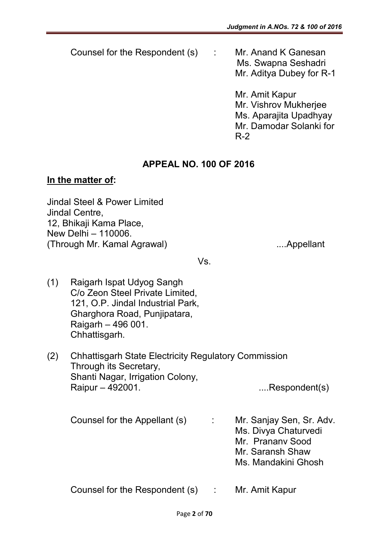Counsel for the Respondent (s) : Mr. Anand K Ganesan

Ms. Swapna Seshadri Mr. Aditya Dubey for R-1

Mr. Amit Kapur Mr. Vishrov Mukherjee Ms. Aparajita Upadhyay Mr. Damodar Solanki for R-2

## APPEAL NO. 100 OF 2016

### In the matter of:

Jindal Steel & Power Limited Jindal Centre, 12, Bhikaji Kama Place, New Delhi – 110006. (Through Mr. Kamal Agrawal) ....Appellant

Vs.

- (1) Raigarh Ispat Udyog Sangh C/o Zeon Steel Private Limited, 121, O.P. Jindal Industrial Park, Gharghora Road, Punjipatara, Raigarh – 496 001. Chhattisgarh.
- (2) Chhattisgarh State Electricity Regulatory Commission Through its Secretary, Shanti Nagar, Irrigation Colony, Raipur – 492001. ....Respondent(s)

Counsel for the Appellant (s) : Mr. Sanjay Sen, Sr. Adv. Ms. Divya Chaturvedi Mr. Prananv Sood Mr. Saransh Shaw Ms. Mandakini Ghosh

Counsel for the Respondent (s) : Mr. Amit Kapur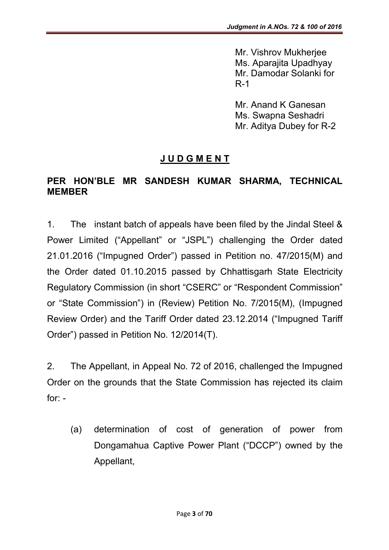Mr. Vishrov Mukherjee Ms. Aparajita Upadhyay Mr. Damodar Solanki for R-1

Mr. Anand K Ganesan Ms. Swapna Seshadri Mr. Aditya Dubey for R-2

## J U D G M E N T

### PER HON'BLE MR SANDESH KUMAR SHARMA, TECHNICAL MEMBER

1. The instant batch of appeals have been filed by the Jindal Steel & Power Limited ("Appellant" or "JSPL") challenging the Order dated 21.01.2016 ("Impugned Order") passed in Petition no. 47/2015(M) and the Order dated 01.10.2015 passed by Chhattisgarh State Electricity Regulatory Commission (in short "CSERC" or "Respondent Commission" or "State Commission") in (Review) Petition No. 7/2015(M), (Impugned Review Order) and the Tariff Order dated 23.12.2014 ("Impugned Tariff Order") passed in Petition No. 12/2014(T).

2. The Appellant, in Appeal No. 72 of 2016, challenged the Impugned Order on the grounds that the State Commission has rejected its claim for: -

(a) determination of cost of generation of power from Dongamahua Captive Power Plant ("DCCP") owned by the Appellant,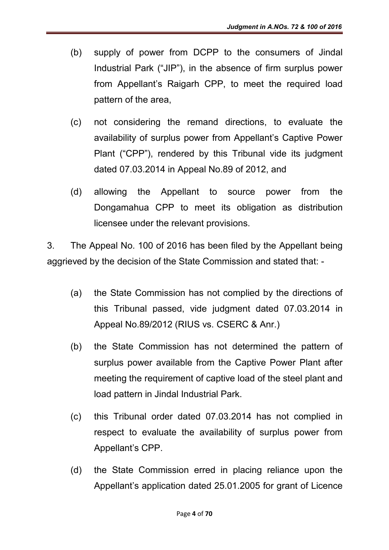- (b) supply of power from DCPP to the consumers of Jindal Industrial Park ("JIP"), in the absence of firm surplus power from Appellant's Raigarh CPP, to meet the required load pattern of the area,
- (c) not considering the remand directions, to evaluate the availability of surplus power from Appellant's Captive Power Plant ("CPP"), rendered by this Tribunal vide its judgment dated 07.03.2014 in Appeal No.89 of 2012, and
- (d) allowing the Appellant to source power from the Dongamahua CPP to meet its obligation as distribution licensee under the relevant provisions.

3. The Appeal No. 100 of 2016 has been filed by the Appellant being aggrieved by the decision of the State Commission and stated that: -

- (a) the State Commission has not complied by the directions of this Tribunal passed, vide judgment dated 07.03.2014 in Appeal No.89/2012 (RIUS vs. CSERC & Anr.)
- (b) the State Commission has not determined the pattern of surplus power available from the Captive Power Plant after meeting the requirement of captive load of the steel plant and load pattern in Jindal Industrial Park.
- (c) this Tribunal order dated 07.03.2014 has not complied in respect to evaluate the availability of surplus power from Appellant's CPP.
- (d) the State Commission erred in placing reliance upon the Appellant's application dated 25.01.2005 for grant of Licence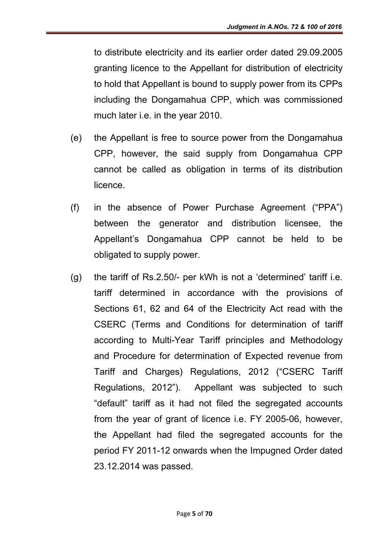to distribute electricity and its earlier order dated 29.09.2005 granting licence to the Appellant for distribution of electricity to hold that Appellant is bound to supply power from its CPPs including the Dongamahua CPP, which was commissioned much later i.e. in the year 2010.

- (e) the Appellant is free to source power from the Dongamahua CPP, however, the said supply from Dongamahua CPP cannot be called as obligation in terms of its distribution licence.
- (f) in the absence of Power Purchase Agreement ("PPA") between the generator and distribution licensee, the Appellant's Dongamahua CPP cannot be held to be obligated to supply power.
- (g) the tariff of Rs.2.50/- per kWh is not a 'determined' tariff i.e. tariff determined in accordance with the provisions of Sections 61, 62 and 64 of the Electricity Act read with the CSERC (Terms and Conditions for determination of tariff according to Multi-Year Tariff principles and Methodology and Procedure for determination of Expected revenue from Tariff and Charges) Regulations, 2012 ("CSERC Tariff Regulations, 2012"). Appellant was subjected to such "default" tariff as it had not filed the segregated accounts from the year of grant of licence i.e. FY 2005-06, however, the Appellant had filed the segregated accounts for the period FY 2011-12 onwards when the Impugned Order dated 23.12.2014 was passed.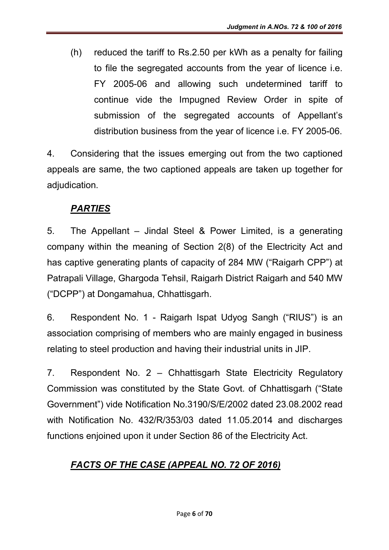(h) reduced the tariff to Rs.2.50 per kWh as a penalty for failing to file the segregated accounts from the year of licence i.e. FY 2005-06 and allowing such undetermined tariff to continue vide the Impugned Review Order in spite of submission of the segregated accounts of Appellant's distribution business from the year of licence i.e. FY 2005-06.

4. Considering that the issues emerging out from the two captioned appeals are same, the two captioned appeals are taken up together for adjudication.

## *PARTIES*

5. The Appellant – Jindal Steel & Power Limited, is a generating company within the meaning of Section 2(8) of the Electricity Act and has captive generating plants of capacity of 284 MW ("Raigarh CPP") at Patrapali Village, Ghargoda Tehsil, Raigarh District Raigarh and 540 MW ("DCPP") at Dongamahua, Chhattisgarh.

6. Respondent No. 1 - Raigarh Ispat Udyog Sangh ("RIUS") is an association comprising of members who are mainly engaged in business relating to steel production and having their industrial units in JIP.

7. Respondent No. 2 – Chhattisgarh State Electricity Regulatory Commission was constituted by the State Govt. of Chhattisgarh ("State Government") vide Notification No.3190/S/E/2002 dated 23.08.2002 read with Notification No. 432/R/353/03 dated 11.05.2014 and discharges functions enjoined upon it under Section 86 of the Electricity Act.

## *FACTS OF THE CASE (APPEAL NO. 72 OF 2016)*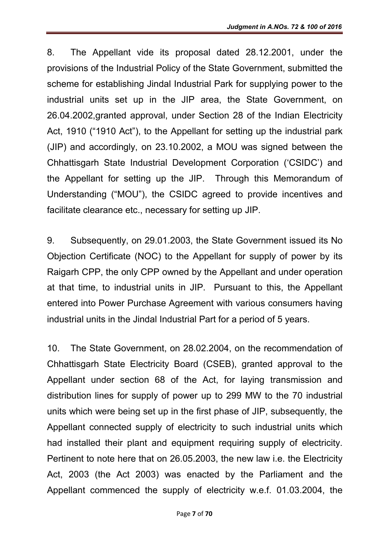8. The Appellant vide its proposal dated 28.12.2001, under the provisions of the Industrial Policy of the State Government, submitted the scheme for establishing Jindal Industrial Park for supplying power to the industrial units set up in the JIP area, the State Government, on 26.04.2002,granted approval, under Section 28 of the Indian Electricity Act, 1910 ("1910 Act"), to the Appellant for setting up the industrial park (JIP) and accordingly, on 23.10.2002, a MOU was signed between the Chhattisgarh State Industrial Development Corporation ('CSIDC') and the Appellant for setting up the JIP. Through this Memorandum of Understanding ("MOU"), the CSIDC agreed to provide incentives and facilitate clearance etc., necessary for setting up JIP.

9. Subsequently, on 29.01.2003, the State Government issued its No Objection Certificate (NOC) to the Appellant for supply of power by its Raigarh CPP, the only CPP owned by the Appellant and under operation at that time, to industrial units in JIP. Pursuant to this, the Appellant entered into Power Purchase Agreement with various consumers having industrial units in the Jindal Industrial Part for a period of 5 years.

10. The State Government, on 28.02.2004, on the recommendation of Chhattisgarh State Electricity Board (CSEB), granted approval to the Appellant under section 68 of the Act, for laying transmission and distribution lines for supply of power up to 299 MW to the 70 industrial units which were being set up in the first phase of JIP, subsequently, the Appellant connected supply of electricity to such industrial units which had installed their plant and equipment requiring supply of electricity. Pertinent to note here that on 26.05.2003, the new law i.e. the Electricity Act, 2003 (the Act 2003) was enacted by the Parliament and the Appellant commenced the supply of electricity w.e.f. 01.03.2004, the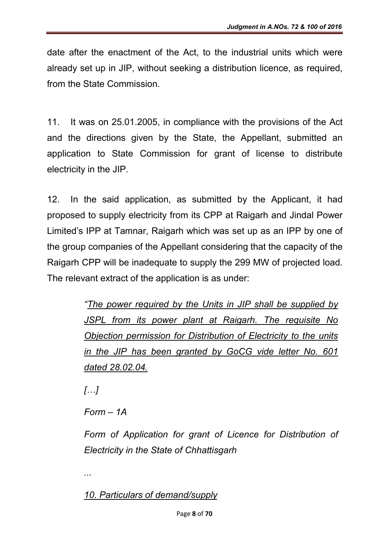date after the enactment of the Act, to the industrial units which were already set up in JIP, without seeking a distribution licence, as required, from the State Commission.

11. It was on 25.01.2005, in compliance with the provisions of the Act and the directions given by the State, the Appellant, submitted an application to State Commission for grant of license to distribute electricity in the JIP.

12. In the said application, as submitted by the Applicant, it had proposed to supply electricity from its CPP at Raigarh and Jindal Power Limited's IPP at Tamnar, Raigarh which was set up as an IPP by one of the group companies of the Appellant considering that the capacity of the Raigarh CPP will be inadequate to supply the 299 MW of projected load. The relevant extract of the application is as under:

> *"The power required by the Units in JIP shall be supplied by JSPL from its power plant at Raigarh. The requisite No Objection permission for Distribution of Electricity to the units in the JIP has been granted by GoCG vide letter No. 601 dated 28.02.04.*

*[…]*

*...*

*Form – 1A*

*Form of Application for grant of Licence for Distribution of Electricity in the State of Chhattisgarh*

*10. Particulars of demand/supply*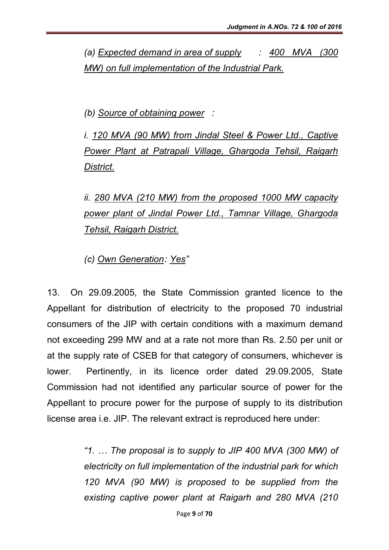*(a) Expected demand in area of supply : 400 MVA (300 MW) on full implementation of the Industrial Park.*

*(b) Source of obtaining power :* 

*i. 120 MVA (90 MW) from Jindal Steel & Power Ltd., Captive Power Plant at Patrapali Village, Ghargoda Tehsil, Raigarh District.*

*ii. 280 MVA (210 MW) from the proposed 1000 MW capacity power plant of Jindal Power Ltd., Tamnar Village, Ghargoda Tehsil, Raigarh District.*

*(c) Own Generation: Yes"*

13. On 29.09.2005, the State Commission granted licence to the Appellant for distribution of electricity to the proposed 70 industrial consumers of the JIP with certain conditions with a maximum demand not exceeding 299 MW and at a rate not more than Rs. 2.50 per unit or at the supply rate of CSEB for that category of consumers, whichever is lower. Pertinently, in its licence order dated 29.09.2005, State Commission had not identified any particular source of power for the Appellant to procure power for the purpose of supply to its distribution license area i.e. JIP. The relevant extract is reproduced here under:

> *"1. … The proposal is to supply to JIP 400 MVA (300 MW) of electricity on full implementation of the industrial park for which 120 MVA (90 MW) is proposed to be supplied from the existing captive power plant at Raigarh and 280 MVA (210*

> > Page 9 of 70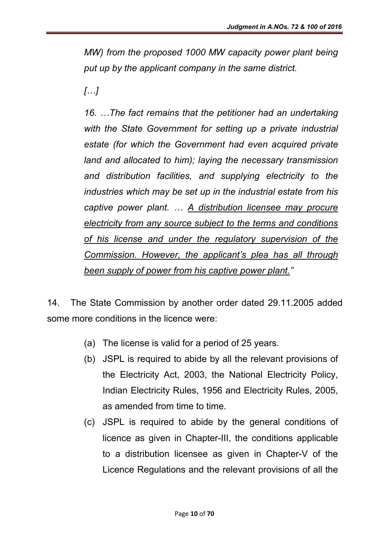*MW) from the proposed 1000 MW capacity power plant being put up by the applicant company in the same district.*

*[…]*

*16. …The fact remains that the petitioner had an undertaking with the State Government for setting up a private industrial estate (for which the Government had even acquired private land and allocated to him); laying the necessary transmission and distribution facilities, and supplying electricity to the industries which may be set up in the industrial estate from his captive power plant. … A distribution licensee may procure electricity from any source subject to the terms and conditions of his license and under the regulatory supervision of the Commission. However, the applicant's plea has all through been supply of power from his captive power plant."*

14. The State Commission by another order dated 29.11.2005 added some more conditions in the licence were:

- (a) The license is valid for a period of 25 years.
- (b) JSPL is required to abide by all the relevant provisions of the Electricity Act, 2003, the National Electricity Policy, Indian Electricity Rules, 1956 and Electricity Rules, 2005, as amended from time to time.
- (c) JSPL is required to abide by the general conditions of licence as given in Chapter-III, the conditions applicable to a distribution licensee as given in Chapter-V of the Licence Regulations and the relevant provisions of all the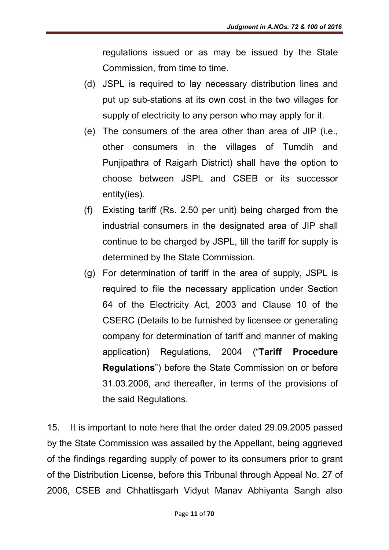regulations issued or as may be issued by the State Commission, from time to time.

- (d) JSPL is required to lay necessary distribution lines and put up sub-stations at its own cost in the two villages for supply of electricity to any person who may apply for it.
- (e) The consumers of the area other than area of JIP (i.e., other consumers in the villages of Tumdih and Punjipathra of Raigarh District) shall have the option to choose between JSPL and CSEB or its successor entity(ies).
- (f) Existing tariff (Rs. 2.50 per unit) being charged from the industrial consumers in the designated area of JIP shall continue to be charged by JSPL, till the tariff for supply is determined by the State Commission.
- (g) For determination of tariff in the area of supply, JSPL is required to file the necessary application under Section 64 of the Electricity Act, 2003 and Clause 10 of the CSERC (Details to be furnished by licensee or generating company for determination of tariff and manner of making application) Regulations, 2004 ("Tariff Procedure Regulations") before the State Commission on or before 31.03.2006, and thereafter, in terms of the provisions of the said Regulations.

15. It is important to note here that the order dated 29.09.2005 passed by the State Commission was assailed by the Appellant, being aggrieved of the findings regarding supply of power to its consumers prior to grant of the Distribution License, before this Tribunal through Appeal No. 27 of 2006, CSEB and Chhattisgarh Vidyut Manav Abhiyanta Sangh also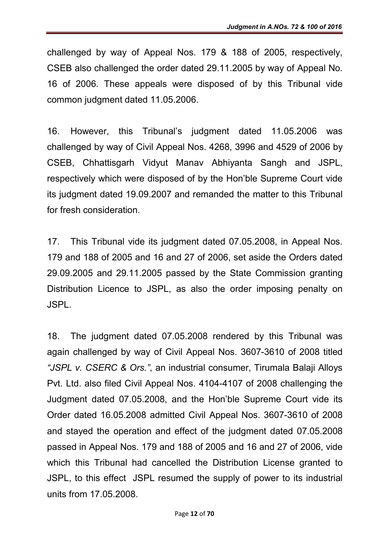challenged by way of Appeal Nos. 179 & 188 of 2005, respectively, CSEB also challenged the order dated 29.11.2005 by way of Appeal No. 16 of 2006. These appeals were disposed of by this Tribunal vide common judgment dated 11.05.2006.

16. However, this Tribunal's judgment dated 11.05.2006 was challenged by way of Civil Appeal Nos. 4268, 3996 and 4529 of 2006 by CSEB, Chhattisgarh Vidyut Manav Abhiyanta Sangh and JSPL, respectively which were disposed of by the Hon'ble Supreme Court vide its judgment dated 19.09.2007 and remanded the matter to this Tribunal for fresh consideration.

17. This Tribunal vide its judgment dated 07.05.2008, in Appeal Nos. 179 and 188 of 2005 and 16 and 27 of 2006, set aside the Orders dated 29.09.2005 and 29.11.2005 passed by the State Commission granting Distribution Licence to JSPL, as also the order imposing penalty on JSPL.

18. The judgment dated 07.05.2008 rendered by this Tribunal was again challenged by way of Civil Appeal Nos. 3607-3610 of 2008 titled *"JSPL v. CSERC & Ors."*, an industrial consumer, Tirumala Balaji Alloys Pvt. Ltd. also filed Civil Appeal Nos. 4104-4107 of 2008 challenging the Judgment dated 07.05.2008, and the Hon'ble Supreme Court vide its Order dated 16.05.2008 admitted Civil Appeal Nos. 3607-3610 of 2008 and stayed the operation and effect of the judgment dated 07.05.2008 passed in Appeal Nos. 179 and 188 of 2005 and 16 and 27 of 2006, vide which this Tribunal had cancelled the Distribution License granted to JSPL, to this effect JSPL resumed the supply of power to its industrial units from 17.05.2008.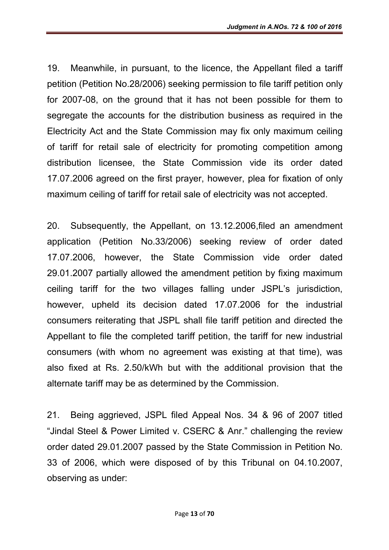19. Meanwhile, in pursuant, to the licence, the Appellant filed a tariff petition (Petition No.28/2006) seeking permission to file tariff petition only for 2007-08, on the ground that it has not been possible for them to segregate the accounts for the distribution business as required in the Electricity Act and the State Commission may fix only maximum ceiling of tariff for retail sale of electricity for promoting competition among distribution licensee, the State Commission vide its order dated 17.07.2006 agreed on the first prayer, however, plea for fixation of only maximum ceiling of tariff for retail sale of electricity was not accepted.

20. Subsequently, the Appellant, on 13.12.2006,filed an amendment application (Petition No.33/2006) seeking review of order dated 17.07.2006, however, the State Commission vide order dated 29.01.2007 partially allowed the amendment petition by fixing maximum ceiling tariff for the two villages falling under JSPL's jurisdiction, however, upheld its decision dated 17.07.2006 for the industrial consumers reiterating that JSPL shall file tariff petition and directed the Appellant to file the completed tariff petition, the tariff for new industrial consumers (with whom no agreement was existing at that time), was also fixed at Rs. 2.50/kWh but with the additional provision that the alternate tariff may be as determined by the Commission.

21. Being aggrieved, JSPL filed Appeal Nos. 34 & 96 of 2007 titled "Jindal Steel & Power Limited v. CSERC & Anr." challenging the review order dated 29.01.2007 passed by the State Commission in Petition No. 33 of 2006, which were disposed of by this Tribunal on 04.10.2007, observing as under: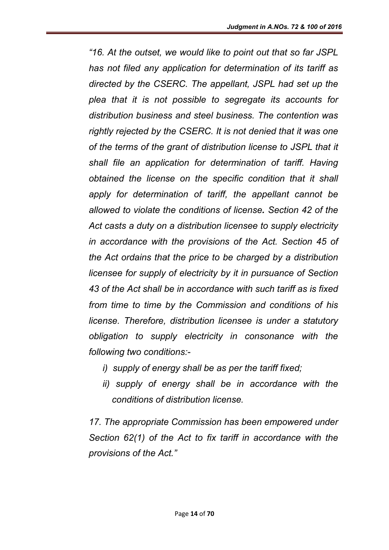*"16. At the outset, we would like to point out that so far JSPL has not filed any application for determination of its tariff as directed by the CSERC. The appellant, JSPL had set up the plea that it is not possible to segregate its accounts for distribution business and steel business. The contention was rightly rejected by the CSERC. It is not denied that it was one of the terms of the grant of distribution license to JSPL that it shall file an application for determination of tariff. Having obtained the license on the specific condition that it shall apply for determination of tariff, the appellant cannot be allowed to violate the conditions of license. Section 42 of the Act casts a duty on a distribution licensee to supply electricity in accordance with the provisions of the Act. Section 45 of the Act ordains that the price to be charged by a distribution licensee for supply of electricity by it in pursuance of Section 43 of the Act shall be in accordance with such tariff as is fixed from time to time by the Commission and conditions of his license. Therefore, distribution licensee is under a statutory obligation to supply electricity in consonance with the following two conditions:-*

- *i) supply of energy shall be as per the tariff fixed;*
- *ii) supply of energy shall be in accordance with the conditions of distribution license.*

*17. The appropriate Commission has been empowered under Section 62(1) of the Act to fix tariff in accordance with the provisions of the Act."*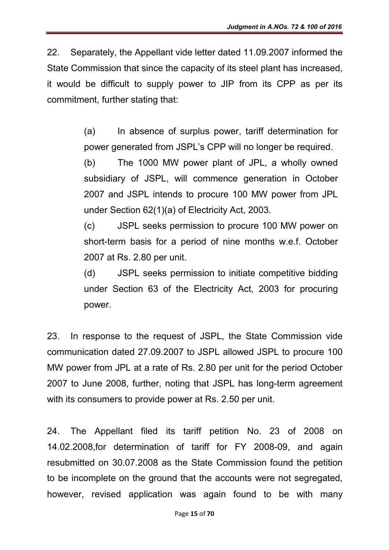22. Separately, the Appellant vide letter dated 11.09.2007 informed the State Commission that since the capacity of its steel plant has increased, it would be difficult to supply power to JIP from its CPP as per its commitment, further stating that:

> (a) In absence of surplus power, tariff determination for power generated from JSPL's CPP will no longer be required.

> (b) The 1000 MW power plant of JPL, a wholly owned subsidiary of JSPL, will commence generation in October 2007 and JSPL intends to procure 100 MW power from JPL under Section 62(1)(a) of Electricity Act, 2003.

> (c) JSPL seeks permission to procure 100 MW power on short-term basis for a period of nine months w.e.f. October 2007 at Rs. 2.80 per unit.

> (d) JSPL seeks permission to initiate competitive bidding under Section 63 of the Electricity Act, 2003 for procuring power.

23. In response to the request of JSPL, the State Commission vide communication dated 27.09.2007 to JSPL allowed JSPL to procure 100 MW power from JPL at a rate of Rs. 2.80 per unit for the period October 2007 to June 2008, further, noting that JSPL has long-term agreement with its consumers to provide power at Rs. 2.50 per unit.

24. The Appellant filed its tariff petition No. 23 of 2008 on 14.02.2008,for determination of tariff for FY 2008-09, and again resubmitted on 30.07.2008 as the State Commission found the petition to be incomplete on the ground that the accounts were not segregated, however, revised application was again found to be with many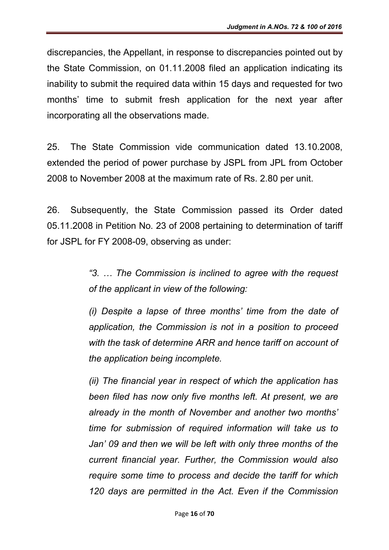discrepancies, the Appellant, in response to discrepancies pointed out by the State Commission, on 01.11.2008 filed an application indicating its inability to submit the required data within 15 days and requested for two months' time to submit fresh application for the next year after incorporating all the observations made.

25. The State Commission vide communication dated 13.10.2008, extended the period of power purchase by JSPL from JPL from October 2008 to November 2008 at the maximum rate of Rs. 2.80 per unit.

26. Subsequently, the State Commission passed its Order dated 05.11.2008 in Petition No. 23 of 2008 pertaining to determination of tariff for JSPL for FY 2008-09, observing as under:

> *"3. … The Commission is inclined to agree with the request of the applicant in view of the following:*

> *(i) Despite a lapse of three months' time from the date of application, the Commission is not in a position to proceed with the task of determine ARR and hence tariff on account of the application being incomplete.*

> *(ii) The financial year in respect of which the application has been filed has now only five months left. At present, we are already in the month of November and another two months' time for submission of required information will take us to Jan' 09 and then we will be left with only three months of the current financial year. Further, the Commission would also require some time to process and decide the tariff for which 120 days are permitted in the Act. Even if the Commission*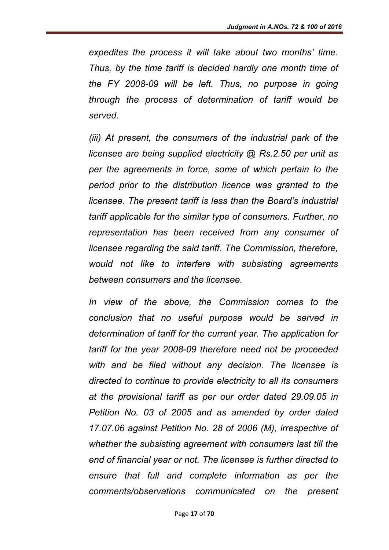*expedites the process it will take about two months' time. Thus, by the time tariff is decided hardly one month time of the FY 2008-09 will be left. Thus, no purpose in going through the process of determination of tariff would be served.*

*(iii) At present, the consumers of the industrial park of the licensee are being supplied electricity @ Rs.2.50 per unit as per the agreements in force, some of which pertain to the period prior to the distribution licence was granted to the licensee. The present tariff is less than the Board's industrial tariff applicable for the similar type of consumers. Further, no representation has been received from any consumer of licensee regarding the said tariff. The Commission, therefore, would not like to interfere with subsisting agreements between consumers and the licensee.*

*In view of the above, the Commission comes to the conclusion that no useful purpose would be served in determination of tariff for the current year. The application for tariff for the year 2008-09 therefore need not be proceeded with and be filed without any decision. The licensee is directed to continue to provide electricity to all its consumers at the provisional tariff as per our order dated 29.09.05 in Petition No. 03 of 2005 and as amended by order dated 17.07.06 against Petition No. 28 of 2006 (M), irrespective of whether the subsisting agreement with consumers last till the end of financial year or not. The licensee is further directed to ensure that full and complete information as per the comments/observations communicated on the present*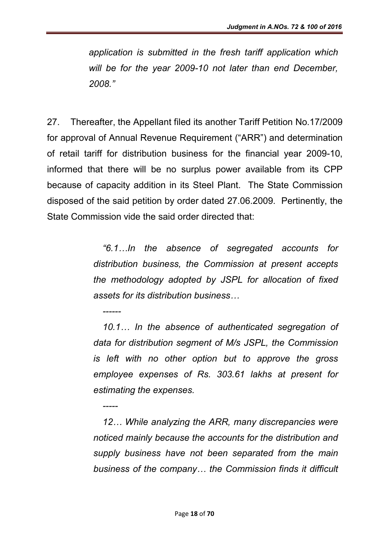*application is submitted in the fresh tariff application which will be for the year 2009-10 not later than end December, 2008."*

27. Thereafter, the Appellant filed its another Tariff Petition No.17/2009 for approval of Annual Revenue Requirement ("ARR") and determination of retail tariff for distribution business for the financial year 2009-10, informed that there will be no surplus power available from its CPP because of capacity addition in its Steel Plant. The State Commission disposed of the said petition by order dated 27.06.2009. Pertinently, the State Commission vide the said order directed that:

*------*

*-----*

*"6.1…In the absence of segregated accounts for distribution business, the Commission at present accepts the methodology adopted by JSPL for allocation of fixed assets for its distribution business…*

*10.1… In the absence of authenticated segregation of data for distribution segment of M/s JSPL, the Commission is left with no other option but to approve the gross employee expenses of Rs. 303.61 lakhs at present for estimating the expenses.*

*12… While analyzing the ARR, many discrepancies were noticed mainly because the accounts for the distribution and supply business have not been separated from the main business of the company… the Commission finds it difficult*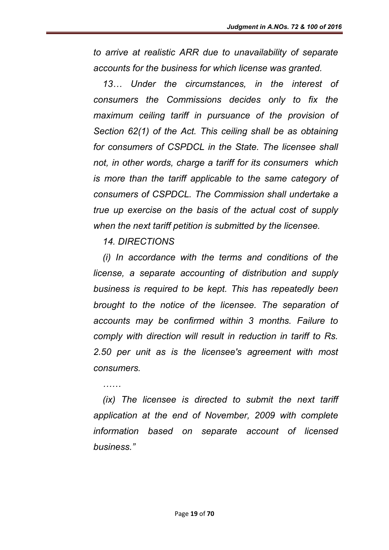*to arrive at realistic ARR due to unavailability of separate accounts for the business for which license was granted.*

*13… Under the circumstances, in the interest of consumers the Commissions decides only to fix the maximum ceiling tariff in pursuance of the provision of Section 62(1) of the Act. This ceiling shall be as obtaining for consumers of CSPDCL in the State. The licensee shall not, in other words, charge a tariff for its consumers which is more than the tariff applicable to the same category of consumers of CSPDCL. The Commission shall undertake a true up exercise on the basis of the actual cost of supply when the next tariff petition is submitted by the licensee.*

*14. DIRECTIONS*

*(i) In accordance with the terms and conditions of the license, a separate accounting of distribution and supply business is required to be kept. This has repeatedly been brought to the notice of the licensee. The separation of accounts may be confirmed within 3 months. Failure to comply with direction will result in reduction in tariff to Rs. 2.50 per unit as is the licensee's agreement with most consumers.*

*……*

*(ix) The licensee is directed to submit the next tariff application at the end of November, 2009 with complete information based on separate account of licensed business."*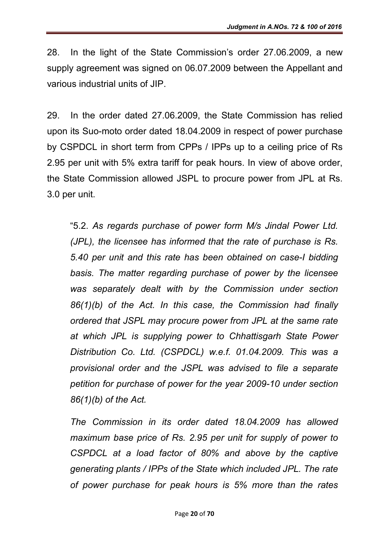28. In the light of the State Commission's order 27.06.2009, a new supply agreement was signed on 06.07.2009 between the Appellant and various industrial units of JIP.

29. In the order dated 27.06.2009, the State Commission has relied upon its Suo-moto order dated 18.04.2009 in respect of power purchase by CSPDCL in short term from CPPs / IPPs up to a ceiling price of Rs 2.95 per unit with 5% extra tariff for peak hours. In view of above order, the State Commission allowed JSPL to procure power from JPL at Rs. 3.0 per unit.

"5.2. *As regards purchase of power form M/s Jindal Power Ltd. (JPL), the licensee has informed that the rate of purchase is Rs. 5.40 per unit and this rate has been obtained on case-I bidding basis. The matter regarding purchase of power by the licensee was separately dealt with by the Commission under section 86(1)(b) of the Act. In this case, the Commission had finally ordered that JSPL may procure power from JPL at the same rate at which JPL is supplying power to Chhattisgarh State Power Distribution Co. Ltd. (CSPDCL) w.e.f. 01.04.2009. This was a provisional order and the JSPL was advised to file a separate petition for purchase of power for the year 2009-10 under section 86(1)(b) of the Act.*

*The Commission in its order dated 18.04.2009 has allowed maximum base price of Rs. 2.95 per unit for supply of power to CSPDCL at a load factor of 80% and above by the captive generating plants / IPPs of the State which included JPL. The rate of power purchase for peak hours is 5% more than the rates*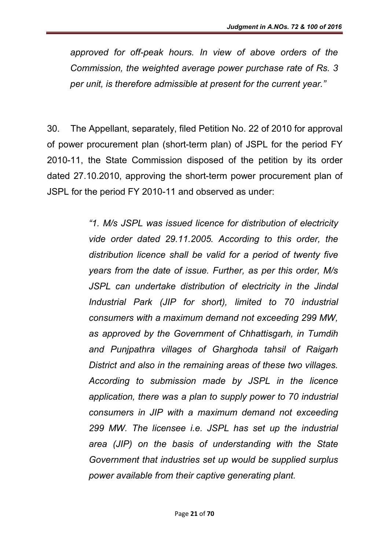*approved for off-peak hours. In view of above orders of the Commission, the weighted average power purchase rate of Rs. 3 per unit, is therefore admissible at present for the current year."*

30. The Appellant, separately, filed Petition No. 22 of 2010 for approval of power procurement plan (short-term plan) of JSPL for the period FY 2010-11, the State Commission disposed of the petition by its order dated 27.10.2010, approving the short-term power procurement plan of JSPL for the period FY 2010-11 and observed as under:

> *"1. M/s JSPL was issued licence for distribution of electricity vide order dated 29.11.2005. According to this order, the distribution licence shall be valid for a period of twenty five years from the date of issue. Further, as per this order, M/s JSPL can undertake distribution of electricity in the Jindal Industrial Park (JIP for short), limited to 70 industrial consumers with a maximum demand not exceeding 299 MW, as approved by the Government of Chhattisgarh, in Tumdih and Punjpathra villages of Gharghoda tahsil of Raigarh District and also in the remaining areas of these two villages. According to submission made by JSPL in the licence application, there was a plan to supply power to 70 industrial consumers in JIP with a maximum demand not exceeding 299 MW. The licensee i.e. JSPL has set up the industrial area (JIP) on the basis of understanding with the State Government that industries set up would be supplied surplus power available from their captive generating plant.*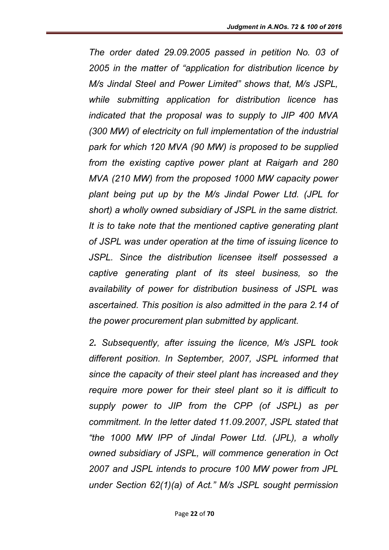*The order dated 29.09.2005 passed in petition No. 03 of 2005 in the matter of "application for distribution licence by M/s Jindal Steel and Power Limited" shows that, M/s JSPL, while submitting application for distribution licence has indicated that the proposal was to supply to JIP 400 MVA (300 MW) of electricity on full implementation of the industrial park for which 120 MVA (90 MW) is proposed to be supplied from the existing captive power plant at Raigarh and 280 MVA (210 MW) from the proposed 1000 MW capacity power plant being put up by the M/s Jindal Power Ltd. (JPL for short) a wholly owned subsidiary of JSPL in the same district. It is to take note that the mentioned captive generating plant of JSPL was under operation at the time of issuing licence to JSPL. Since the distribution licensee itself possessed a captive generating plant of its steel business, so the availability of power for distribution business of JSPL was ascertained. This position is also admitted in the para 2.14 of the power procurement plan submitted by applicant.*

*2. Subsequently, after issuing the licence, M/s JSPL took different position. In September, 2007, JSPL informed that since the capacity of their steel plant has increased and they require more power for their steel plant so it is difficult to supply power to JIP from the CPP (of JSPL) as per commitment. In the letter dated 11.09.2007, JSPL stated that "the 1000 MW IPP of Jindal Power Ltd. (JPL), a wholly owned subsidiary of JSPL, will commence generation in Oct 2007 and JSPL intends to procure 100 MW power from JPL under Section 62(1)(a) of Act." M/s JSPL sought permission*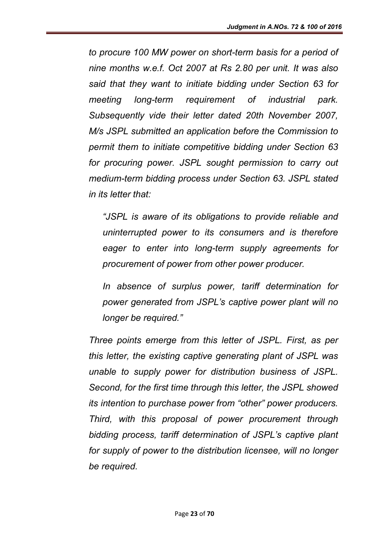*to procure 100 MW power on short-term basis for a period of nine months w.e.f. Oct 2007 at Rs 2.80 per unit. It was also said that they want to initiate bidding under Section 63 for meeting long-term requirement of industrial park. Subsequently vide their letter dated 20th November 2007, M/s JSPL submitted an application before the Commission to permit them to initiate competitive bidding under Section 63 for procuring power. JSPL sought permission to carry out medium-term bidding process under Section 63. JSPL stated in its letter that:*

*"JSPL is aware of its obligations to provide reliable and uninterrupted power to its consumers and is therefore eager to enter into long-term supply agreements for procurement of power from other power producer.* 

*In absence of surplus power, tariff determination for power generated from JSPL's captive power plant will no longer be required."*

*Three points emerge from this letter of JSPL. First, as per this letter, the existing captive generating plant of JSPL was unable to supply power for distribution business of JSPL. Second, for the first time through this letter, the JSPL showed its intention to purchase power from "other" power producers. Third, with this proposal of power procurement through bidding process, tariff determination of JSPL's captive plant for supply of power to the distribution licensee, will no longer be required.*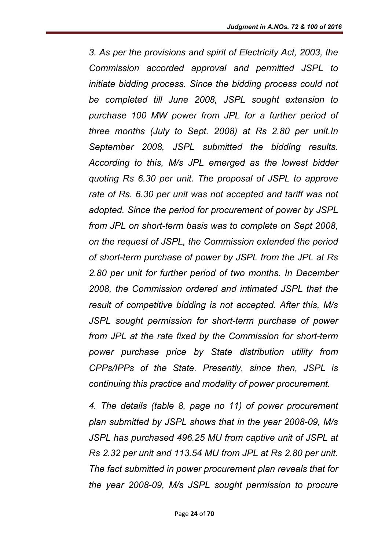*3. As per the provisions and spirit of Electricity Act, 2003, the Commission accorded approval and permitted JSPL to initiate bidding process. Since the bidding process could not be completed till June 2008, JSPL sought extension to purchase 100 MW power from JPL for a further period of three months (July to Sept. 2008) at Rs 2.80 per unit.In September 2008, JSPL submitted the bidding results. According to this, M/s JPL emerged as the lowest bidder quoting Rs 6.30 per unit. The proposal of JSPL to approve rate of Rs. 6.30 per unit was not accepted and tariff was not adopted. Since the period for procurement of power by JSPL from JPL on short-term basis was to complete on Sept 2008, on the request of JSPL, the Commission extended the period of short-term purchase of power by JSPL from the JPL at Rs 2.80 per unit for further period of two months. In December 2008, the Commission ordered and intimated JSPL that the result of competitive bidding is not accepted. After this, M/s JSPL sought permission for short-term purchase of power from JPL at the rate fixed by the Commission for short-term power purchase price by State distribution utility from CPPs/IPPs of the State. Presently, since then, JSPL is continuing this practice and modality of power procurement.*

*4. The details (table 8, page no 11) of power procurement plan submitted by JSPL shows that in the year 2008-09, M/s JSPL has purchased 496.25 MU from captive unit of JSPL at Rs 2.32 per unit and 113.54 MU from JPL at Rs 2.80 per unit. The fact submitted in power procurement plan reveals that for the year 2008-09, M/s JSPL sought permission to procure*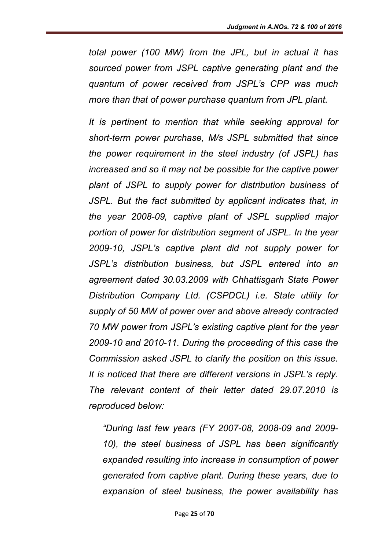*total power (100 MW) from the JPL, but in actual it has sourced power from JSPL captive generating plant and the quantum of power received from JSPL's CPP was much more than that of power purchase quantum from JPL plant.* 

*It is pertinent to mention that while seeking approval for short-term power purchase, M/s JSPL submitted that since the power requirement in the steel industry (of JSPL) has increased and so it may not be possible for the captive power plant of JSPL to supply power for distribution business of JSPL. But the fact submitted by applicant indicates that, in the year 2008-09, captive plant of JSPL supplied major portion of power for distribution segment of JSPL. In the year 2009-10, JSPL's captive plant did not supply power for JSPL's distribution business, but JSPL entered into an agreement dated 30.03.2009 with Chhattisgarh State Power Distribution Company Ltd. (CSPDCL) i.e. State utility for supply of 50 MW of power over and above already contracted 70 MW power from JSPL's existing captive plant for the year 2009-10 and 2010-11. During the proceeding of this case the Commission asked JSPL to clarify the position on this issue. It is noticed that there are different versions in JSPL's reply. The relevant content of their letter dated 29.07.2010 is reproduced below:*

*"During last few years (FY 2007-08, 2008-09 and 2009- 10), the steel business of JSPL has been significantly expanded resulting into increase in consumption of power generated from captive plant. During these years, due to expansion of steel business, the power availability has*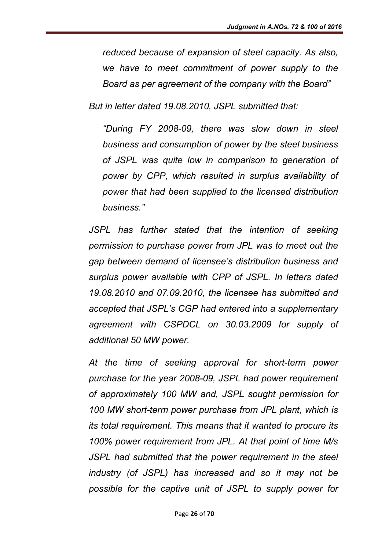*reduced because of expansion of steel capacity. As also, we have to meet commitment of power supply to the Board as per agreement of the company with the Board"*

*But in letter dated 19.08.2010, JSPL submitted that:*

*"During FY 2008-09, there was slow down in steel business and consumption of power by the steel business of JSPL was quite low in comparison to generation of power by CPP, which resulted in surplus availability of power that had been supplied to the licensed distribution business."*

*JSPL has further stated that the intention of seeking permission to purchase power from JPL was to meet out the gap between demand of licensee's distribution business and surplus power available with CPP of JSPL. In letters dated 19.08.2010 and 07.09.2010, the licensee has submitted and accepted that JSPL's CGP had entered into a supplementary agreement with CSPDCL on 30.03.2009 for supply of additional 50 MW power.*

*At the time of seeking approval for short-term power purchase for the year 2008-09, JSPL had power requirement of approximately 100 MW and, JSPL sought permission for 100 MW short-term power purchase from JPL plant, which is its total requirement. This means that it wanted to procure its 100% power requirement from JPL. At that point of time M/s JSPL had submitted that the power requirement in the steel industry (of JSPL) has increased and so it may not be possible for the captive unit of JSPL to supply power for*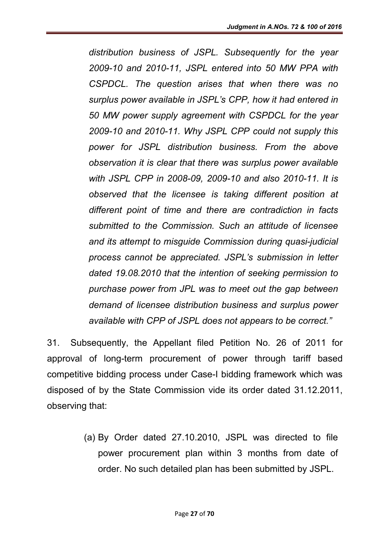*distribution business of JSPL. Subsequently for the year 2009-10 and 2010-11, JSPL entered into 50 MW PPA with CSPDCL. The question arises that when there was no surplus power available in JSPL's CPP, how it had entered in 50 MW power supply agreement with CSPDCL for the year 2009-10 and 2010-11. Why JSPL CPP could not supply this power for JSPL distribution business. From the above observation it is clear that there was surplus power available with JSPL CPP in 2008-09, 2009-10 and also 2010-11. It is observed that the licensee is taking different position at different point of time and there are contradiction in facts submitted to the Commission. Such an attitude of licensee and its attempt to misguide Commission during quasi-judicial process cannot be appreciated. JSPL's submission in letter dated 19.08.2010 that the intention of seeking permission to purchase power from JPL was to meet out the gap between demand of licensee distribution business and surplus power available with CPP of JSPL does not appears to be correct."*

31. Subsequently, the Appellant filed Petition No. 26 of 2011 for approval of long-term procurement of power through tariff based competitive bidding process under Case-I bidding framework which was disposed of by the State Commission vide its order dated 31.12.2011, observing that:

> (a) By Order dated 27.10.2010, JSPL was directed to file power procurement plan within 3 months from date of order. No such detailed plan has been submitted by JSPL.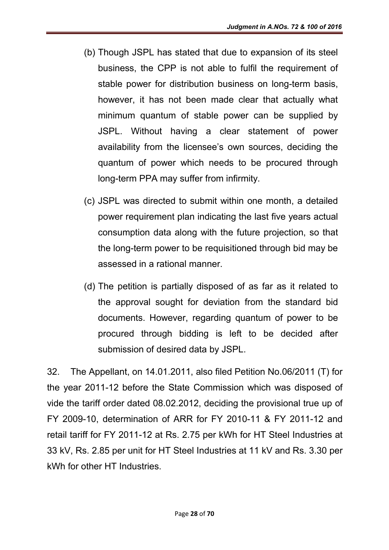- (b) Though JSPL has stated that due to expansion of its steel business, the CPP is not able to fulfil the requirement of stable power for distribution business on long-term basis, however, it has not been made clear that actually what minimum quantum of stable power can be supplied by JSPL. Without having a clear statement of power availability from the licensee's own sources, deciding the quantum of power which needs to be procured through long-term PPA may suffer from infirmity.
- (c) JSPL was directed to submit within one month, a detailed power requirement plan indicating the last five years actual consumption data along with the future projection, so that the long-term power to be requisitioned through bid may be assessed in a rational manner.
- (d) The petition is partially disposed of as far as it related to the approval sought for deviation from the standard bid documents. However, regarding quantum of power to be procured through bidding is left to be decided after submission of desired data by JSPL.

32. The Appellant, on 14.01.2011, also filed Petition No.06/2011 (T) for the year 2011-12 before the State Commission which was disposed of vide the tariff order dated 08.02.2012, deciding the provisional true up of FY 2009-10, determination of ARR for FY 2010-11 & FY 2011-12 and retail tariff for FY 2011-12 at Rs. 2.75 per kWh for HT Steel Industries at 33 kV, Rs. 2.85 per unit for HT Steel Industries at 11 kV and Rs. 3.30 per kWh for other HT Industries.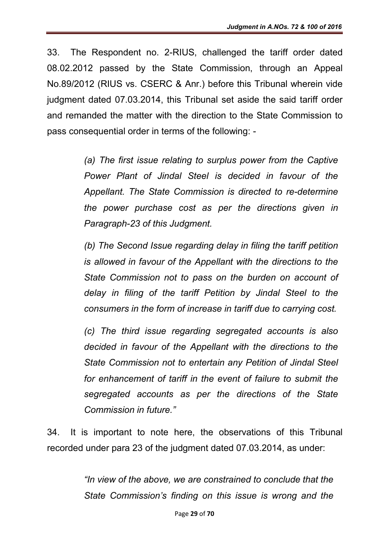33. The Respondent no. 2-RIUS, challenged the tariff order dated 08.02.2012 passed by the State Commission, through an Appeal No.89/2012 (RIUS vs. CSERC & Anr.) before this Tribunal wherein vide judgment dated 07.03.2014, this Tribunal set aside the said tariff order and remanded the matter with the direction to the State Commission to pass consequential order in terms of the following: -

> *(a) The first issue relating to surplus power from the Captive Power Plant of Jindal Steel is decided in favour of the Appellant. The State Commission is directed to re-determine the power purchase cost as per the directions given in Paragraph-23 of this Judgment.*

> *(b) The Second Issue regarding delay in filing the tariff petition is allowed in favour of the Appellant with the directions to the State Commission not to pass on the burden on account of delay in filing of the tariff Petition by Jindal Steel to the consumers in the form of increase in tariff due to carrying cost.*

> *(c) The third issue regarding segregated accounts is also decided in favour of the Appellant with the directions to the State Commission not to entertain any Petition of Jindal Steel*  for enhancement of tariff in the event of failure to submit the *segregated accounts as per the directions of the State Commission in future."*

34. It is important to note here, the observations of this Tribunal recorded under para 23 of the judgment dated 07.03.2014, as under:

> *"In view of the above, we are constrained to conclude that the State Commission's finding on this issue is wrong and the*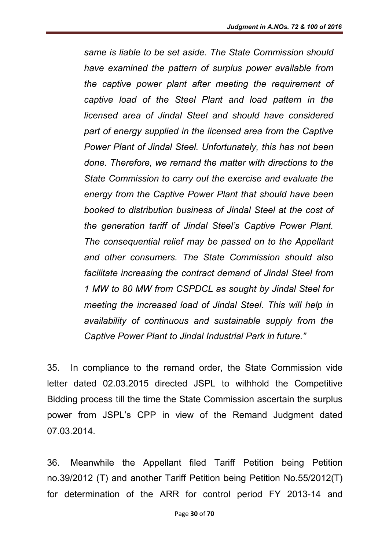*same is liable to be set aside. The State Commission should have examined the pattern of surplus power available from the captive power plant after meeting the requirement of captive load of the Steel Plant and load pattern in the licensed area of Jindal Steel and should have considered part of energy supplied in the licensed area from the Captive Power Plant of Jindal Steel. Unfortunately, this has not been done. Therefore, we remand the matter with directions to the State Commission to carry out the exercise and evaluate the energy from the Captive Power Plant that should have been booked to distribution business of Jindal Steel at the cost of the generation tariff of Jindal Steel's Captive Power Plant. The consequential relief may be passed on to the Appellant and other consumers. The State Commission should also facilitate increasing the contract demand of Jindal Steel from 1 MW to 80 MW from CSPDCL as sought by Jindal Steel for meeting the increased load of Jindal Steel. This will help in availability of continuous and sustainable supply from the Captive Power Plant to Jindal Industrial Park in future."*

35. In compliance to the remand order, the State Commission vide letter dated 02.03.2015 directed JSPL to withhold the Competitive Bidding process till the time the State Commission ascertain the surplus power from JSPL's CPP in view of the Remand Judgment dated 07.03.2014.

36. Meanwhile the Appellant filed Tariff Petition being Petition no.39/2012 (T) and another Tariff Petition being Petition No.55/2012(T) for determination of the ARR for control period FY 2013-14 and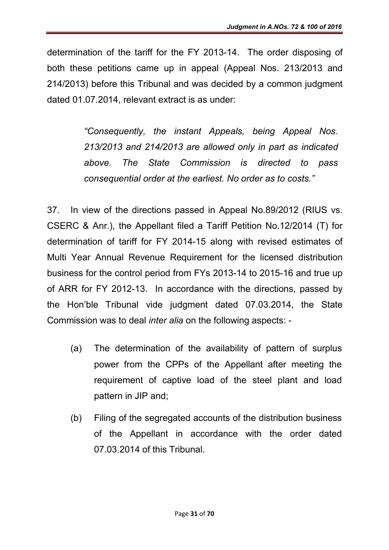determination of the tariff for the FY 2013-14. The order disposing of both these petitions came up in appeal (Appeal Nos. 213/2013 and 214/2013) before this Tribunal and was decided by a common judgment dated 01.07.2014, relevant extract is as under:

> *"Consequently, the instant Appeals, being Appeal Nos. 213/2013 and 214/2013 are allowed only in part as indicated above. The State Commission is directed to pass consequential order at the earliest. No order as to costs."*

37. In view of the directions passed in Appeal No.89/2012 (RIUS vs. CSERC & Anr.), the Appellant filed a Tariff Petition No.12/2014 (T) for determination of tariff for FY 2014-15 along with revised estimates of Multi Year Annual Revenue Requirement for the licensed distribution business for the control period from FYs 2013-14 to 2015-16 and true up of ARR for FY 2012-13. In accordance with the directions, passed by the Hon'ble Tribunal vide judgment dated 07.03.2014, the State Commission was to deal *inter alia* on the following aspects: -

- (a) The determination of the availability of pattern of surplus power from the CPPs of the Appellant after meeting the requirement of captive load of the steel plant and load pattern in JIP and;
- (b) Filing of the segregated accounts of the distribution business of the Appellant in accordance with the order dated 07.03.2014 of this Tribunal.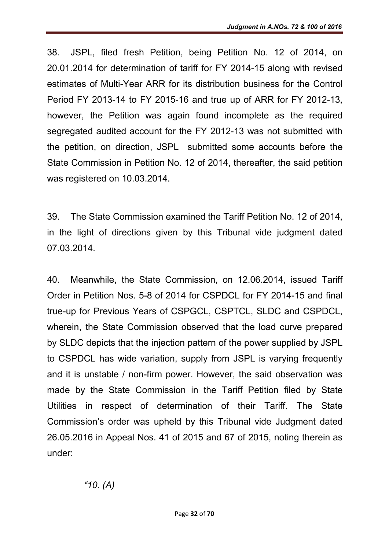38. JSPL, filed fresh Petition, being Petition No. 12 of 2014, on 20.01.2014 for determination of tariff for FY 2014-15 along with revised estimates of Multi-Year ARR for its distribution business for the Control Period FY 2013-14 to FY 2015-16 and true up of ARR for FY 2012-13, however, the Petition was again found incomplete as the required segregated audited account for the FY 2012-13 was not submitted with the petition, on direction, JSPL submitted some accounts before the State Commission in Petition No. 12 of 2014, thereafter, the said petition was registered on 10.03.2014.

39. The State Commission examined the Tariff Petition No. 12 of 2014, in the light of directions given by this Tribunal vide judgment dated 07.03.2014.

40. Meanwhile, the State Commission, on 12.06.2014, issued Tariff Order in Petition Nos. 5-8 of 2014 for CSPDCL for FY 2014-15 and final true-up for Previous Years of CSPGCL, CSPTCL, SLDC and CSPDCL, wherein, the State Commission observed that the load curve prepared by SLDC depicts that the injection pattern of the power supplied by JSPL to CSPDCL has wide variation, supply from JSPL is varying frequently and it is unstable / non-firm power. However, the said observation was made by the State Commission in the Tariff Petition filed by State Utilities in respect of determination of their Tariff. The State Commission's order was upheld by this Tribunal vide Judgment dated 26.05.2016 in Appeal Nos. 41 of 2015 and 67 of 2015, noting therein as under: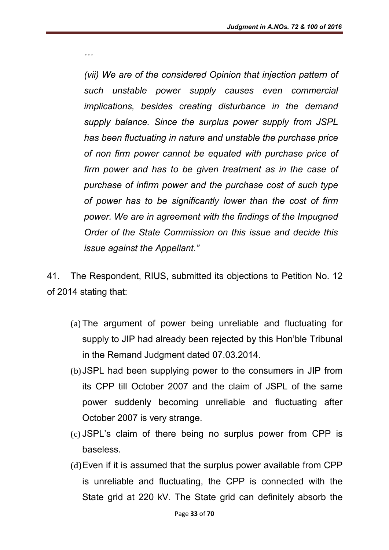*(vii) We are of the considered Opinion that injection pattern of such unstable power supply causes even commercial implications, besides creating disturbance in the demand supply balance. Since the surplus power supply from JSPL has been fluctuating in nature and unstable the purchase price of non firm power cannot be equated with purchase price of firm power and has to be given treatment as in the case of purchase of infirm power and the purchase cost of such type of power has to be significantly lower than the cost of firm power. We are in agreement with the findings of the Impugned Order of the State Commission on this issue and decide this issue against the Appellant."*

*…*

41. The Respondent, RIUS, submitted its objections to Petition No. 12 of 2014 stating that:

- (a)The argument of power being unreliable and fluctuating for supply to JIP had already been rejected by this Hon'ble Tribunal in the Remand Judgment dated 07.03.2014.
- (b)JSPL had been supplying power to the consumers in JIP from its CPP till October 2007 and the claim of JSPL of the same power suddenly becoming unreliable and fluctuating after October 2007 is very strange.
- (c) JSPL's claim of there being no surplus power from CPP is baseless.
- (d)Even if it is assumed that the surplus power available from CPP is unreliable and fluctuating, the CPP is connected with the State grid at 220 kV. The State grid can definitely absorb the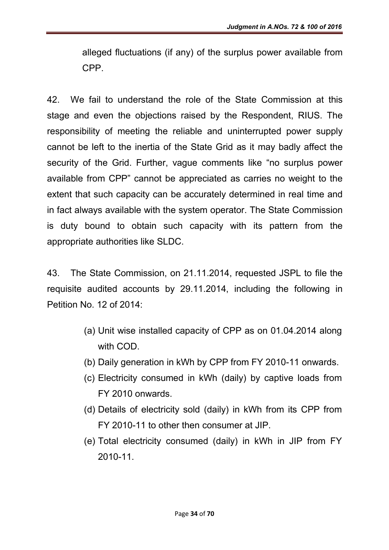alleged fluctuations (if any) of the surplus power available from CPP.

42. We fail to understand the role of the State Commission at this stage and even the objections raised by the Respondent, RIUS. The responsibility of meeting the reliable and uninterrupted power supply cannot be left to the inertia of the State Grid as it may badly affect the security of the Grid. Further, vague comments like "no surplus power available from CPP" cannot be appreciated as carries no weight to the extent that such capacity can be accurately determined in real time and in fact always available with the system operator. The State Commission is duty bound to obtain such capacity with its pattern from the appropriate authorities like SLDC.

43. The State Commission, on 21.11.2014, requested JSPL to file the requisite audited accounts by 29.11.2014, including the following in Petition No. 12 of 2014:

- (a) Unit wise installed capacity of CPP as on 01.04.2014 along with COD.
- (b) Daily generation in kWh by CPP from FY 2010-11 onwards.
- (c) Electricity consumed in kWh (daily) by captive loads from FY 2010 onwards.
- (d) Details of electricity sold (daily) in kWh from its CPP from FY 2010-11 to other then consumer at JIP.
- (e) Total electricity consumed (daily) in kWh in JIP from FY 2010-11.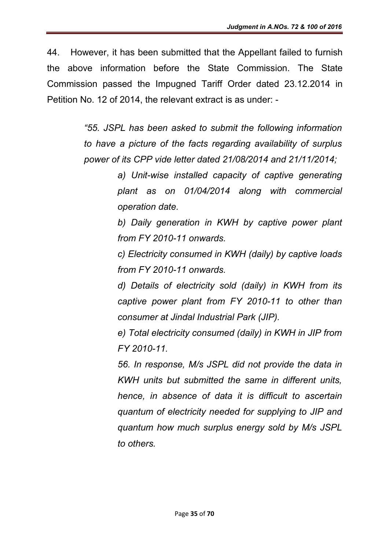44. However, it has been submitted that the Appellant failed to furnish the above information before the State Commission. The State Commission passed the Impugned Tariff Order dated 23.12.2014 in Petition No. 12 of 2014, the relevant extract is as under: -

> *"55. JSPL has been asked to submit the following information to have a picture of the facts regarding availability of surplus power of its CPP vide letter dated 21/08/2014 and 21/11/2014;*

> > *a) Unit-wise installed capacity of captive generating plant as on 01/04/2014 along with commercial operation date.*

> > *b) Daily generation in KWH by captive power plant from FY 2010-11 onwards.*

> > *c) Electricity consumed in KWH (daily) by captive loads from FY 2010-11 onwards.*

> > *d) Details of electricity sold (daily) in KWH from its captive power plant from FY 2010-11 to other than consumer at Jindal Industrial Park (JIP).*

> > *e) Total electricity consumed (daily) in KWH in JIP from FY 2010-11.*

> > *56. In response, M/s JSPL did not provide the data in KWH units but submitted the same in different units, hence, in absence of data it is difficult to ascertain quantum of electricity needed for supplying to JIP and quantum how much surplus energy sold by M/s JSPL to others.*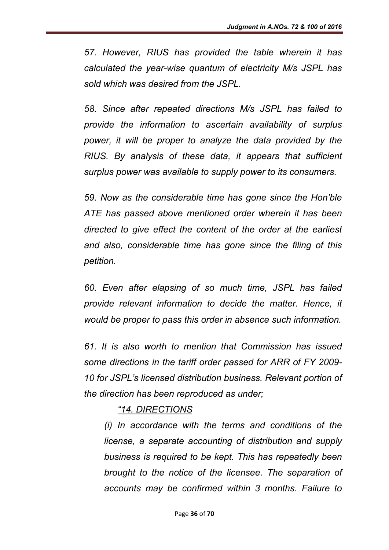*57. However, RIUS has provided the table wherein it has calculated the year-wise quantum of electricity M/s JSPL has sold which was desired from the JSPL.*

*58. Since after repeated directions M/s JSPL has failed to provide the information to ascertain availability of surplus power, it will be proper to analyze the data provided by the RIUS. By analysis of these data, it appears that sufficient surplus power was available to supply power to its consumers.*

*59. Now as the considerable time has gone since the Hon'ble ATE has passed above mentioned order wherein it has been directed to give effect the content of the order at the earliest and also, considerable time has gone since the filing of this petition.*

*60. Even after elapsing of so much time, JSPL has failed provide relevant information to decide the matter. Hence, it would be proper to pass this order in absence such information.*

*61. It is also worth to mention that Commission has issued some directions in the tariff order passed for ARR of FY 2009- 10 for JSPL's licensed distribution business. Relevant portion of the direction has been reproduced as under;*

### *"14. DIRECTIONS*

*(i) In accordance with the terms and conditions of the license, a separate accounting of distribution and supply business is required to be kept. This has repeatedly been brought to the notice of the licensee. The separation of accounts may be confirmed within 3 months. Failure to*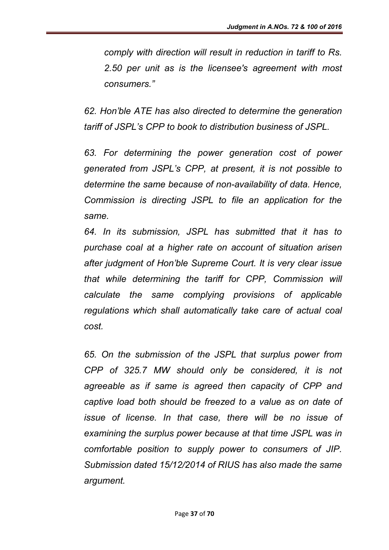*comply with direction will result in reduction in tariff to Rs. 2.50 per unit as is the licensee's agreement with most consumers."*

*62. Hon'ble ATE has also directed to determine the generation tariff of JSPL's CPP to book to distribution business of JSPL.*

*63. For determining the power generation cost of power generated from JSPL's CPP, at present, it is not possible to determine the same because of non-availability of data. Hence, Commission is directing JSPL to file an application for the same.*

*64. In its submission, JSPL has submitted that it has to purchase coal at a higher rate on account of situation arisen after judgment of Hon'ble Supreme Court. It is very clear issue that while determining the tariff for CPP, Commission will calculate the same complying provisions of applicable regulations which shall automatically take care of actual coal cost.*

*65. On the submission of the JSPL that surplus power from CPP of 325.7 MW should only be considered, it is not agreeable as if same is agreed then capacity of CPP and captive load both should be freezed to a value as on date of issue of license. In that case, there will be no issue of examining the surplus power because at that time JSPL was in comfortable position to supply power to consumers of JIP. Submission dated 15/12/2014 of RIUS has also made the same argument.*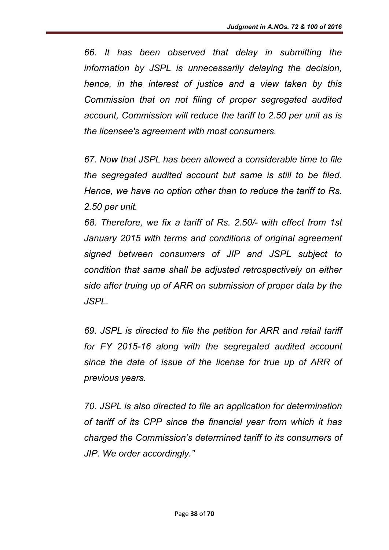*66. It has been observed that delay in submitting the information by JSPL is unnecessarily delaying the decision, hence, in the interest of justice and a view taken by this Commission that on not filing of proper segregated audited account, Commission will reduce the tariff to 2.50 per unit as is the licensee's agreement with most consumers.*

*67. Now that JSPL has been allowed a considerable time to file the segregated audited account but same is still to be filed. Hence, we have no option other than to reduce the tariff to Rs. 2.50 per unit.*

*68. Therefore, we fix a tariff of Rs. 2.50/- with effect from 1st January 2015 with terms and conditions of original agreement signed between consumers of JIP and JSPL subject to condition that same shall be adjusted retrospectively on either side after truing up of ARR on submission of proper data by the JSPL.*

*69. JSPL is directed to file the petition for ARR and retail tariff for FY 2015-16 along with the segregated audited account since the date of issue of the license for true up of ARR of previous years.*

*70. JSPL is also directed to file an application for determination of tariff of its CPP since the financial year from which it has charged the Commission's determined tariff to its consumers of JIP. We order accordingly."*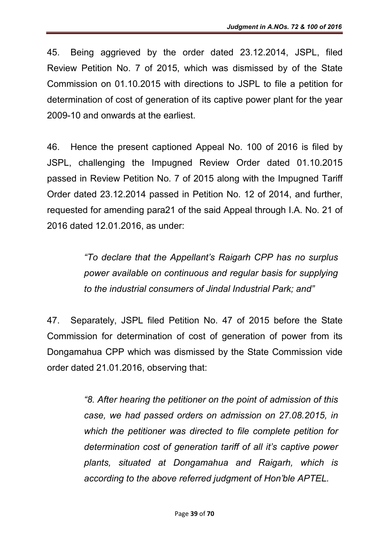45. Being aggrieved by the order dated 23.12.2014, JSPL, filed Review Petition No. 7 of 2015, which was dismissed by of the State Commission on 01.10.2015 with directions to JSPL to file a petition for determination of cost of generation of its captive power plant for the year 2009-10 and onwards at the earliest.

46. Hence the present captioned Appeal No. 100 of 2016 is filed by JSPL, challenging the Impugned Review Order dated 01.10.2015 passed in Review Petition No. 7 of 2015 along with the Impugned Tariff Order dated 23.12.2014 passed in Petition No. 12 of 2014, and further, requested for amending para21 of the said Appeal through I.A. No. 21 of 2016 dated 12.01.2016, as under:

> *"To declare that the Appellant's Raigarh CPP has no surplus power available on continuous and regular basis for supplying to the industrial consumers of Jindal Industrial Park; and"*

47. Separately, JSPL filed Petition No. 47 of 2015 before the State Commission for determination of cost of generation of power from its Dongamahua CPP which was dismissed by the State Commission vide order dated 21.01.2016, observing that:

> *"8. After hearing the petitioner on the point of admission of this case, we had passed orders on admission on 27.08.2015, in which the petitioner was directed to file complete petition for determination cost of generation tariff of all it's captive power plants, situated at Dongamahua and Raigarh, which is according to the above referred judgment of Hon'ble APTEL.*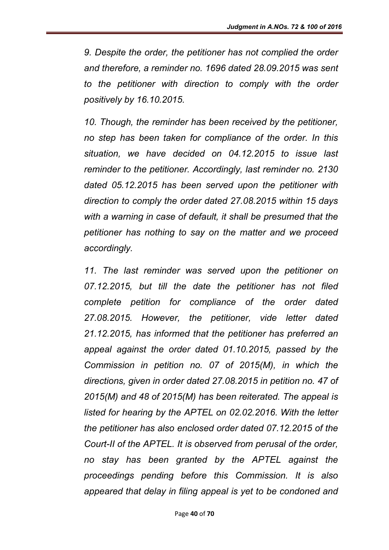*9. Despite the order, the petitioner has not complied the order and therefore, a reminder no. 1696 dated 28.09.2015 was sent to the petitioner with direction to comply with the order positively by 16.10.2015.* 

*10. Though, the reminder has been received by the petitioner, no step has been taken for compliance of the order. In this situation, we have decided on 04.12.2015 to issue last reminder to the petitioner. Accordingly, last reminder no. 2130 dated 05.12.2015 has been served upon the petitioner with direction to comply the order dated 27.08.2015 within 15 days with a warning in case of default, it shall be presumed that the petitioner has nothing to say on the matter and we proceed accordingly.* 

*11. The last reminder was served upon the petitioner on 07.12.2015, but till the date the petitioner has not filed complete petition for compliance of the order dated 27.08.2015. However, the petitioner, vide letter dated 21.12.2015, has informed that the petitioner has preferred an appeal against the order dated 01.10.2015, passed by the Commission in petition no. 07 of 2015(M), in which the directions, given in order dated 27.08.2015 in petition no. 47 of 2015(M) and 48 of 2015(M) has been reiterated. The appeal is listed for hearing by the APTEL on 02.02.2016. With the letter the petitioner has also enclosed order dated 07.12.2015 of the Court-II of the APTEL. It is observed from perusal of the order, no stay has been granted by the APTEL against the proceedings pending before this Commission. It is also appeared that delay in filing appeal is yet to be condoned and*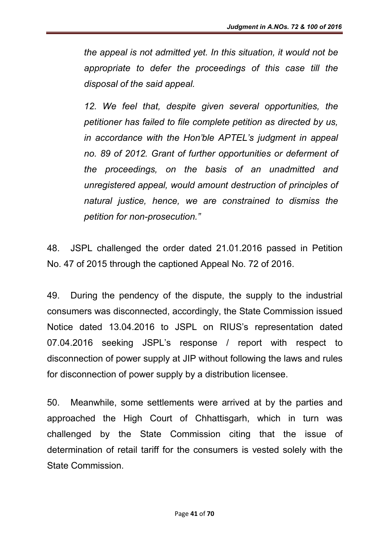*the appeal is not admitted yet. In this situation, it would not be appropriate to defer the proceedings of this case till the disposal of the said appeal.* 

12. We feel that, despite given several opportunities, the *petitioner has failed to file complete petition as directed by us, in accordance with the Hon'ble APTEL's judgment in appeal no. 89 of 2012. Grant of further opportunities or deferment of the proceedings, on the basis of an unadmitted and unregistered appeal, would amount destruction of principles of natural justice, hence, we are constrained to dismiss the petition for non-prosecution."*

48. JSPL challenged the order dated 21.01.2016 passed in Petition No. 47 of 2015 through the captioned Appeal No. 72 of 2016.

49. During the pendency of the dispute, the supply to the industrial consumers was disconnected, accordingly, the State Commission issued Notice dated 13.04.2016 to JSPL on RIUS's representation dated 07.04.2016 seeking JSPL's response / report with respect to disconnection of power supply at JIP without following the laws and rules for disconnection of power supply by a distribution licensee.

50. Meanwhile, some settlements were arrived at by the parties and approached the High Court of Chhattisgarh, which in turn was challenged by the State Commission citing that the issue of determination of retail tariff for the consumers is vested solely with the State Commission.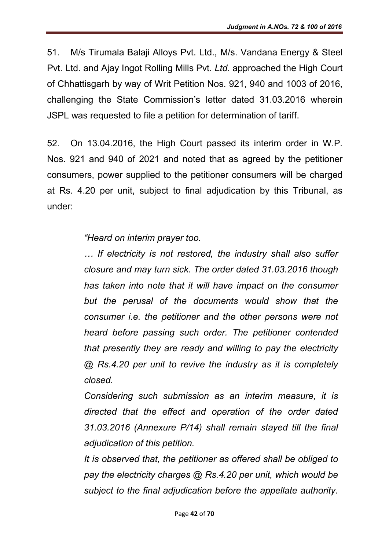51. M/s Tirumala Balaji Alloys Pvt. Ltd., M/s. Vandana Energy & Steel Pvt. Ltd. and Ajay Ingot Rolling Mills Pvt. *Ltd.* approached the High Court of Chhattisgarh by way of Writ Petition Nos. 921, 940 and 1003 of 2016, challenging the State Commission's letter dated 31.03.2016 wherein JSPL was requested to file a petition for determination of tariff.

52. On 13.04.2016, the High Court passed its interim order in W.P. Nos. 921 and 940 of 2021 and noted that as agreed by the petitioner consumers, power supplied to the petitioner consumers will be charged at Rs. 4.20 per unit, subject to final adjudication by this Tribunal, as under:

*"Heard on interim prayer too.*

*… If electricity is not restored, the industry shall also suffer closure and may turn sick. The order dated 31.03.2016 though has taken into note that it will have impact on the consumer but the perusal of the documents would show that the consumer i.e. the petitioner and the other persons were not heard before passing such order. The petitioner contended that presently they are ready and willing to pay the electricity @ Rs.4.20 per unit to revive the industry as it is completely closed.*

*Considering such submission as an interim measure, it is directed that the effect and operation of the order dated 31.03.2016 (Annexure P/14) shall remain stayed till the final adjudication of this petition.*

*It is observed that, the petitioner as offered shall be obliged to pay the electricity charges @ Rs.4.20 per unit, which would be subject to the final adjudication before the appellate authority.*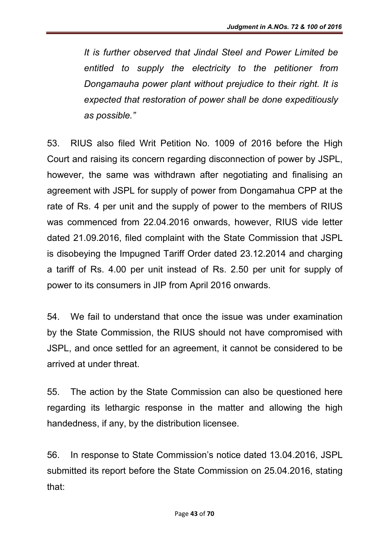*It is further observed that Jindal Steel and Power Limited be entitled to supply the electricity to the petitioner from Dongamauha power plant without prejudice to their right. It is expected that restoration of power shall be done expeditiously as possible."*

53. RIUS also filed Writ Petition No. 1009 of 2016 before the High Court and raising its concern regarding disconnection of power by JSPL, however, the same was withdrawn after negotiating and finalising an agreement with JSPL for supply of power from Dongamahua CPP at the rate of Rs. 4 per unit and the supply of power to the members of RIUS was commenced from 22.04.2016 onwards, however, RIUS vide letter dated 21.09.2016, filed complaint with the State Commission that JSPL is disobeying the Impugned Tariff Order dated 23.12.2014 and charging a tariff of Rs. 4.00 per unit instead of Rs. 2.50 per unit for supply of power to its consumers in JIP from April 2016 onwards.

54. We fail to understand that once the issue was under examination by the State Commission, the RIUS should not have compromised with JSPL, and once settled for an agreement, it cannot be considered to be arrived at under threat.

55. The action by the State Commission can also be questioned here regarding its lethargic response in the matter and allowing the high handedness, if any, by the distribution licensee.

56. In response to State Commission's notice dated 13.04.2016, JSPL submitted its report before the State Commission on 25.04.2016, stating that: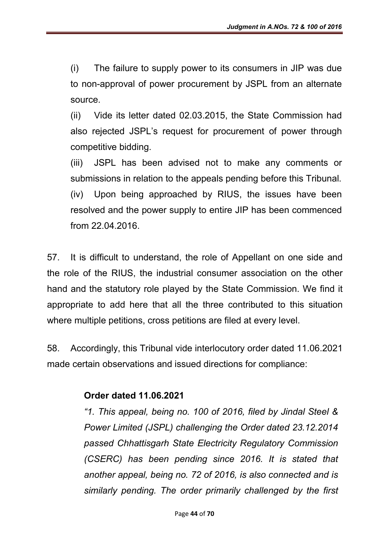(i) The failure to supply power to its consumers in JIP was due to non-approval of power procurement by JSPL from an alternate source.

(ii) Vide its letter dated 02.03.2015, the State Commission had also rejected JSPL's request for procurement of power through competitive bidding.

(iii) JSPL has been advised not to make any comments or submissions in relation to the appeals pending before this Tribunal. (iv) Upon being approached by RIUS, the issues have been resolved and the power supply to entire JIP has been commenced from 22.04.2016.

57. It is difficult to understand, the role of Appellant on one side and the role of the RIUS, the industrial consumer association on the other hand and the statutory role played by the State Commission. We find it appropriate to add here that all the three contributed to this situation where multiple petitions, cross petitions are filed at every level.

58. Accordingly, this Tribunal vide interlocutory order dated 11.06.2021 made certain observations and issued directions for compliance:

### Order dated 11.06.2021

*"1. This appeal, being no. 100 of 2016, filed by Jindal Steel & Power Limited (JSPL) challenging the Order dated 23.12.2014 passed Chhattisgarh State Electricity Regulatory Commission (CSERC)* has been pending since 2016. It is stated that *another appeal, being no. 72 of 2016, is also connected and is similarly pending. The order primarily challenged by the first*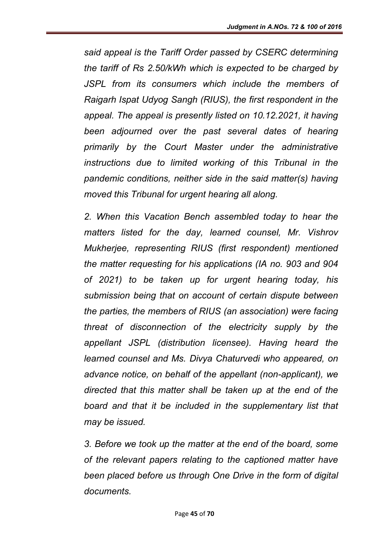*said appeal is the Tariff Order passed by CSERC determining the tariff of Rs 2.50/kWh which is expected to be charged by JSPL from its consumers which include the members of Raigarh Ispat Udyog Sangh (RIUS), the first respondent in the appeal. The appeal is presently listed on 10.12.2021, it having been adjourned over the past several dates of hearing primarily by the Court Master under the administrative instructions due to limited working of this Tribunal in the pandemic conditions, neither side in the said matter(s) having moved this Tribunal for urgent hearing all along.* 

*2. When this Vacation Bench assembled today to hear the matters listed for the day, learned counsel, Mr. Vishrov Mukherjee, representing RIUS (first respondent) mentioned the matter requesting for his applications (IA no. 903 and 904 of 2021) to be taken up for urgent hearing today, his submission being that on account of certain dispute between the parties, the members of RIUS (an association) were facing threat of disconnection of the electricity supply by the appellant JSPL (distribution licensee). Having heard the learned counsel and Ms. Divya Chaturvedi who appeared, on advance notice, on behalf of the appellant (non-applicant), we directed that this matter shall be taken up at the end of the board and that it be included in the supplementary list that may be issued.* 

*3. Before we took up the matter at the end of the board, some of the relevant papers relating to the captioned matter have been placed before us through One Drive in the form of digital documents.*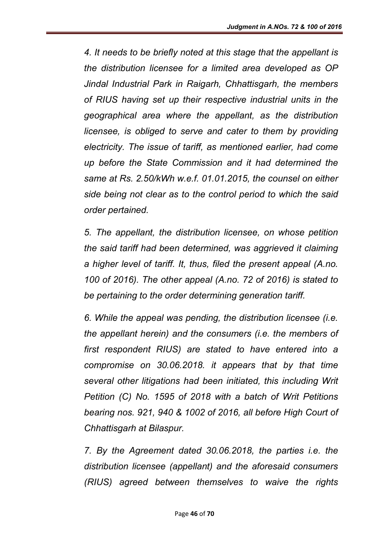*4. It needs to be briefly noted at this stage that the appellant is the distribution licensee for a limited area developed as OP Jindal Industrial Park in Raigarh, Chhattisgarh, the members of RIUS having set up their respective industrial units in the geographical area where the appellant, as the distribution licensee, is obliged to serve and cater to them by providing electricity. The issue of tariff, as mentioned earlier, had come up before the State Commission and it had determined the same at Rs. 2.50/kWh w.e.f. 01.01.2015, the counsel on either side being not clear as to the control period to which the said order pertained.* 

*5. The appellant, the distribution licensee, on whose petition the said tariff had been determined, was aggrieved it claiming a higher level of tariff. It, thus, filed the present appeal (A.no. 100 of 2016). The other appeal (A.no. 72 of 2016) is stated to be pertaining to the order determining generation tariff.* 

*6. While the appeal was pending, the distribution licensee (i.e. the appellant herein) and the consumers (i.e. the members of first respondent RIUS) are stated to have entered into a compromise on 30.06.2018. it appears that by that time several other litigations had been initiated, this including Writ Petition (C) No. 1595 of 2018 with a batch of Writ Petitions bearing nos. 921, 940 & 1002 of 2016, all before High Court of Chhattisgarh at Bilaspur.* 

*7. By the Agreement dated 30.06.2018, the parties i.e. the distribution licensee (appellant) and the aforesaid consumers (RIUS) agreed between themselves to waive the rights*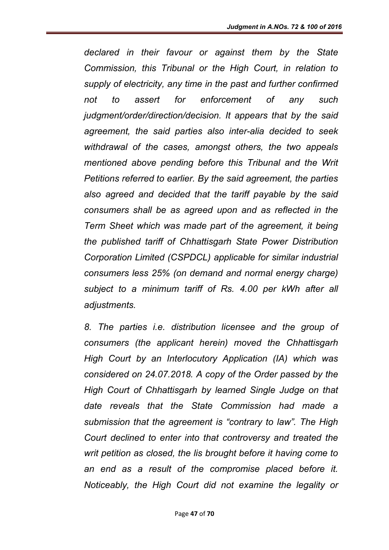*declared in their favour or against them by the State Commission, this Tribunal or the High Court, in relation to supply of electricity, any time in the past and further confirmed not to assert for enforcement of any such judgment/order/direction/decision. It appears that by the said agreement, the said parties also inter-alia decided to seek withdrawal of the cases, amongst others, the two appeals mentioned above pending before this Tribunal and the Writ Petitions referred to earlier. By the said agreement, the parties also agreed and decided that the tariff payable by the said consumers shall be as agreed upon and as reflected in the Term Sheet which was made part of the agreement, it being the published tariff of Chhattisgarh State Power Distribution Corporation Limited (CSPDCL) applicable for similar industrial consumers less 25% (on demand and normal energy charge) subject to a minimum tariff of Rs. 4.00 per kWh after all adjustments.* 

*8. The parties i.e. distribution licensee and the group of consumers (the applicant herein) moved the Chhattisgarh High Court by an Interlocutory Application (IA) which was considered on 24.07.2018. A copy of the Order passed by the High Court of Chhattisgarh by learned Single Judge on that date reveals that the State Commission had made a submission that the agreement is "contrary to law". The High Court declined to enter into that controversy and treated the writ petition as closed, the lis brought before it having come to an end as a result of the compromise placed before it. Noticeably, the High Court did not examine the legality or*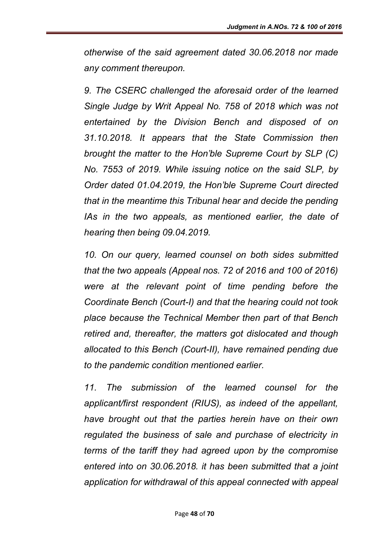*otherwise of the said agreement dated 30.06.2018 nor made any comment thereupon.* 

*9. The CSERC challenged the aforesaid order of the learned Single Judge by Writ Appeal No. 758 of 2018 which was not entertained by the Division Bench and disposed of on 31.10.2018. It appears that the State Commission then brought the matter to the Hon'ble Supreme Court by SLP (C) No. 7553 of 2019. While issuing notice on the said SLP, by Order dated 01.04.2019, the Hon'ble Supreme Court directed that in the meantime this Tribunal hear and decide the pending IAs in the two appeals, as mentioned earlier, the date of hearing then being 09.04.2019.*

*10. On our query, learned counsel on both sides submitted that the two appeals (Appeal nos. 72 of 2016 and 100 of 2016) were at the relevant point of time pending before the Coordinate Bench (Court-I) and that the hearing could not took place because the Technical Member then part of that Bench retired and, thereafter, the matters got dislocated and though allocated to this Bench (Court-II), have remained pending due to the pandemic condition mentioned earlier.* 

*11. The submission of the learned counsel for the applicant/first respondent (RIUS), as indeed of the appellant, have brought out that the parties herein have on their own regulated the business of sale and purchase of electricity in terms of the tariff they had agreed upon by the compromise entered into on 30.06.2018. it has been submitted that a joint application for withdrawal of this appeal connected with appeal*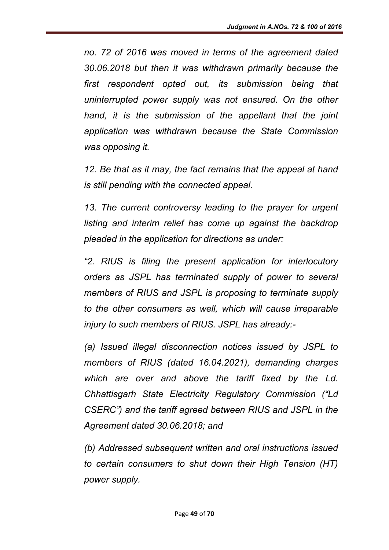*no. 72 of 2016 was moved in terms of the agreement dated 30.06.2018 but then it was withdrawn primarily because the first respondent opted out, its submission being that uninterrupted power supply was not ensured. On the other hand, it is the submission of the appellant that the joint application was withdrawn because the State Commission was opposing it.* 

*12. Be that as it may, the fact remains that the appeal at hand is still pending with the connected appeal.* 

13. The current controversy leading to the prayer for urgent *listing and interim relief has come up against the backdrop pleaded in the application for directions as under:* 

*"2. RIUS is filing the present application for interlocutory orders as JSPL has terminated supply of power to several members of RIUS and JSPL is proposing to terminate supply to the other consumers as well, which will cause irreparable injury to such members of RIUS. JSPL has already:-*

*(a) Issued illegal disconnection notices issued by JSPL to members of RIUS (dated 16.04.2021), demanding charges which are over and above the tariff fixed by the Ld. Chhattisgarh State Electricity Regulatory Commission ("Ld CSERC") and the tariff agreed between RIUS and JSPL in the Agreement dated 30.06.2018; and* 

*(b) Addressed subsequent written and oral instructions issued to certain consumers to shut down their High Tension (HT) power supply.*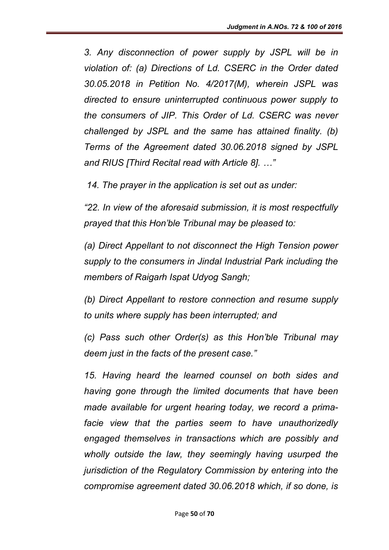*3. Any disconnection of power supply by JSPL will be in violation of: (a) Directions of Ld. CSERC in the Order dated 30.05.2018 in Petition No. 4/2017(M), wherein JSPL was directed to ensure uninterrupted continuous power supply to the consumers of JIP. This Order of Ld. CSERC was never challenged by JSPL and the same has attained finality. (b) Terms of the Agreement dated 30.06.2018 signed by JSPL and RIUS [Third Recital read with Article 8]. …"* 

*14. The prayer in the application is set out as under:* 

*"22. In view of the aforesaid submission, it is most respectfully prayed that this Hon'ble Tribunal may be pleased to:* 

*(a) Direct Appellant to not disconnect the High Tension power supply to the consumers in Jindal Industrial Park including the members of Raigarh Ispat Udyog Sangh;* 

*(b) Direct Appellant to restore connection and resume supply to units where supply has been interrupted; and* 

*(c) Pass such other Order(s) as this Hon'ble Tribunal may deem just in the facts of the present case."* 

*15. Having heard the learned counsel on both sides and having gone through the limited documents that have been made available for urgent hearing today, we record a primafacie view that the parties seem to have unauthorizedly engaged themselves in transactions which are possibly and wholly outside the law, they seemingly having usurped the jurisdiction of the Regulatory Commission by entering into the compromise agreement dated 30.06.2018 which, if so done, is*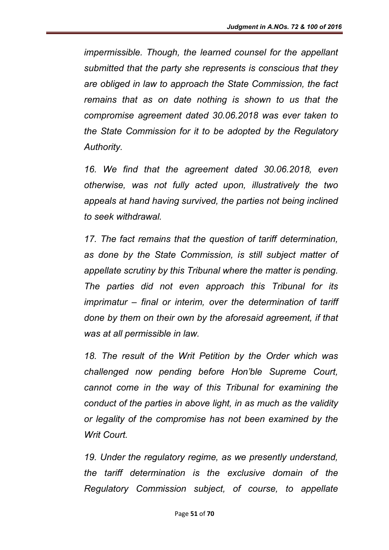*impermissible. Though, the learned counsel for the appellant submitted that the party she represents is conscious that they are obliged in law to approach the State Commission, the fact remains that as on date nothing is shown to us that the compromise agreement dated 30.06.2018 was ever taken to the State Commission for it to be adopted by the Regulatory Authority.* 

*16. We find that the agreement dated 30.06.2018, even otherwise, was not fully acted upon, illustratively the two appeals at hand having survived, the parties not being inclined to seek withdrawal.* 

*17. The fact remains that the question of tariff determination, as done by the State Commission, is still subject matter of appellate scrutiny by this Tribunal where the matter is pending. The parties did not even approach this Tribunal for its imprimatur – final or interim, over the determination of tariff done by them on their own by the aforesaid agreement, if that was at all permissible in law.* 

*18. The result of the Writ Petition by the Order which was challenged now pending before Hon'ble Supreme Court, cannot come in the way of this Tribunal for examining the conduct of the parties in above light, in as much as the validity or legality of the compromise has not been examined by the Writ Court.* 

*19. Under the regulatory regime, as we presently understand, the tariff determination is the exclusive domain of the Regulatory Commission subject, of course, to appellate*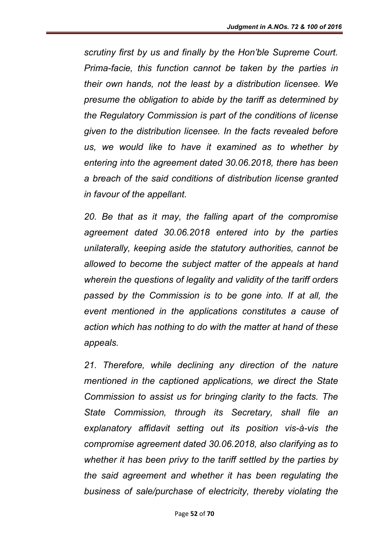*scrutiny first by us and finally by the Hon'ble Supreme Court. Prima-facie, this function cannot be taken by the parties in their own hands, not the least by a distribution licensee. We presume the obligation to abide by the tariff as determined by the Regulatory Commission is part of the conditions of license given to the distribution licensee. In the facts revealed before us, we would like to have it examined as to whether by entering into the agreement dated 30.06.2018, there has been a breach of the said conditions of distribution license granted in favour of the appellant.* 

*20. Be that as it may, the falling apart of the compromise agreement dated 30.06.2018 entered into by the parties unilaterally, keeping aside the statutory authorities, cannot be allowed to become the subject matter of the appeals at hand wherein the questions of legality and validity of the tariff orders passed by the Commission is to be gone into. If at all, the event mentioned in the applications constitutes a cause of action which has nothing to do with the matter at hand of these appeals.* 

21. Therefore, while declining any direction of the nature *mentioned in the captioned applications, we direct the State Commission to assist us for bringing clarity to the facts. The State Commission, through its Secretary, shall file an explanatory affidavit setting out its position vis-à-vis the compromise agreement dated 30.06.2018, also clarifying as to whether it has been privy to the tariff settled by the parties by the said agreement and whether it has been regulating the business of sale/purchase of electricity, thereby violating the*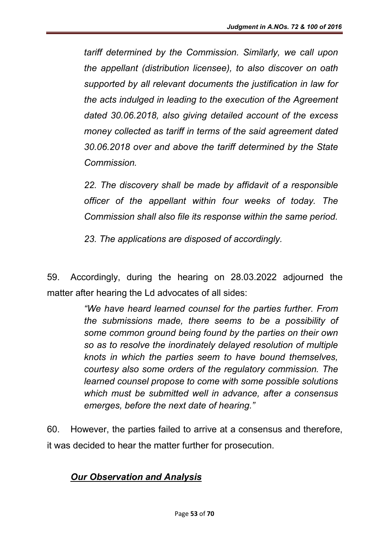*tariff determined by the Commission. Similarly, we call upon the appellant (distribution licensee), to also discover on oath supported by all relevant documents the justification in law for the acts indulged in leading to the execution of the Agreement dated 30.06.2018, also giving detailed account of the excess money collected as tariff in terms of the said agreement dated 30.06.2018 over and above the tariff determined by the State Commission.* 

*22. The discovery shall be made by affidavit of a responsible officer of the appellant within four weeks of today. The Commission shall also file its response within the same period.* 

*23. The applications are disposed of accordingly.*

59. Accordingly, during the hearing on 28.03.2022 adjourned the matter after hearing the Ld advocates of all sides:

> *"We have heard learned counsel for the parties further. From the submissions made, there seems to be a possibility of some common ground being found by the parties on their own so as to resolve the inordinately delayed resolution of multiple knots in which the parties seem to have bound themselves, courtesy also some orders of the regulatory commission. The learned counsel propose to come with some possible solutions which must be submitted well in advance, after a consensus emerges, before the next date of hearing."*

60. However, the parties failed to arrive at a consensus and therefore, it was decided to hear the matter further for prosecution.

## *Our Observation and Analysis*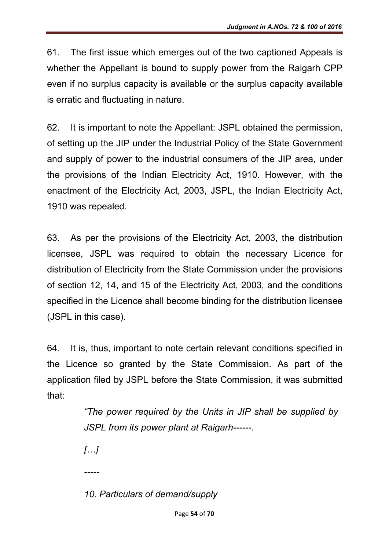61. The first issue which emerges out of the two captioned Appeals is whether the Appellant is bound to supply power from the Raigarh CPP even if no surplus capacity is available or the surplus capacity available is erratic and fluctuating in nature.

62. It is important to note the Appellant: JSPL obtained the permission, of setting up the JIP under the Industrial Policy of the State Government and supply of power to the industrial consumers of the JIP area, under the provisions of the Indian Electricity Act, 1910. However, with the enactment of the Electricity Act, 2003, JSPL, the Indian Electricity Act, 1910 was repealed.

63. As per the provisions of the Electricity Act, 2003, the distribution licensee, JSPL was required to obtain the necessary Licence for distribution of Electricity from the State Commission under the provisions of section 12, 14, and 15 of the Electricity Act, 2003, and the conditions specified in the Licence shall become binding for the distribution licensee (JSPL in this case).

64. It is, thus, important to note certain relevant conditions specified in the Licence so granted by the State Commission. As part of the application filed by JSPL before the State Commission, it was submitted that:

> *"The power required by the Units in JIP shall be supplied by JSPL from its power plant at Raigarh------.*

*[…]*

*-----*

*10. Particulars of demand/supply*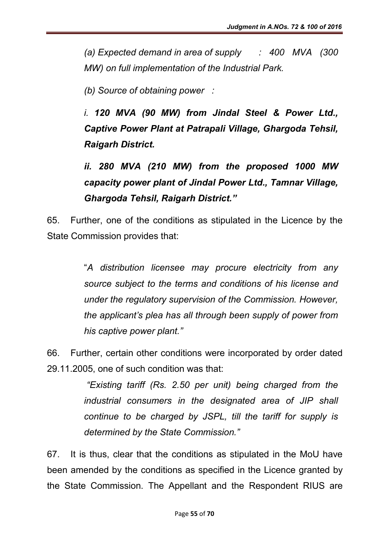*(a) Expected demand in area of supply : 400 MVA (300 MW) on full implementation of the Industrial Park.*

*(b) Source of obtaining power :* 

*i. 120 MVA (90 MW) from Jindal Steel & Power Ltd., Captive Power Plant at Patrapali Village, Ghargoda Tehsil, Raigarh District.*

*ii. 280 MVA (210 MW) from the proposed 1000 MW capacity power plant of Jindal Power Ltd., Tamnar Village, Ghargoda Tehsil, Raigarh District."*

65. Further, one of the conditions as stipulated in the Licence by the State Commission provides that:

> "*A distribution licensee may procure electricity from any source subject to the terms and conditions of his license and under the regulatory supervision of the Commission. However, the applicant's plea has all through been supply of power from his captive power plant."*

66. Further, certain other conditions were incorporated by order dated 29.11.2005, one of such condition was that:

> *"Existing tariff (Rs. 2.50 per unit) being charged from the industrial consumers in the designated area of JIP shall continue to be charged by JSPL, till the tariff for supply is determined by the State Commission."*

67. It is thus, clear that the conditions as stipulated in the MoU have been amended by the conditions as specified in the Licence granted by the State Commission. The Appellant and the Respondent RIUS are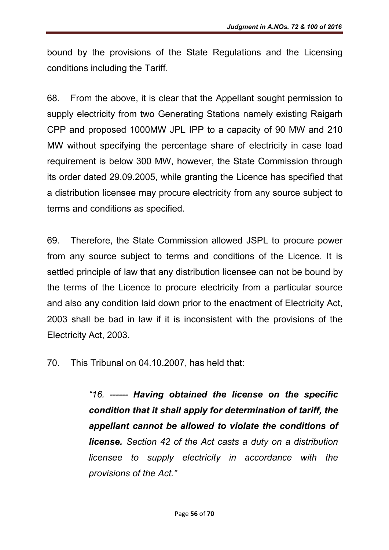bound by the provisions of the State Regulations and the Licensing conditions including the Tariff.

68. From the above, it is clear that the Appellant sought permission to supply electricity from two Generating Stations namely existing Raigarh CPP and proposed 1000MW JPL IPP to a capacity of 90 MW and 210 MW without specifying the percentage share of electricity in case load requirement is below 300 MW, however, the State Commission through its order dated 29.09.2005, while granting the Licence has specified that a distribution licensee may procure electricity from any source subject to terms and conditions as specified.

69. Therefore, the State Commission allowed JSPL to procure power from any source subject to terms and conditions of the Licence. It is settled principle of law that any distribution licensee can not be bound by the terms of the Licence to procure electricity from a particular source and also any condition laid down prior to the enactment of Electricity Act, 2003 shall be bad in law if it is inconsistent with the provisions of the Electricity Act, 2003.

70. This Tribunal on 04.10.2007, has held that:

*"16. ------ Having obtained the license on the specific condition that it shall apply for determination of tariff, the appellant cannot be allowed to violate the conditions of license. Section 42 of the Act casts a duty on a distribution licensee to supply electricity in accordance with the provisions of the Act."*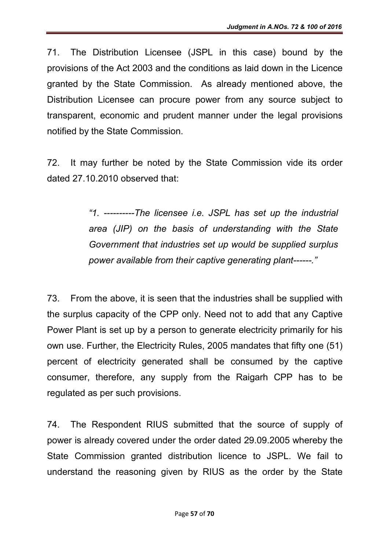71. The Distribution Licensee (JSPL in this case) bound by the provisions of the Act 2003 and the conditions as laid down in the Licence granted by the State Commission. As already mentioned above, the Distribution Licensee can procure power from any source subject to transparent, economic and prudent manner under the legal provisions notified by the State Commission.

72. It may further be noted by the State Commission vide its order dated 27.10.2010 observed that:

> *"1. ----------The licensee i.e. JSPL has set up the industrial area (JIP) on the basis of understanding with the State Government that industries set up would be supplied surplus power available from their captive generating plant------."*

73. From the above, it is seen that the industries shall be supplied with the surplus capacity of the CPP only. Need not to add that any Captive Power Plant is set up by a person to generate electricity primarily for his own use. Further, the Electricity Rules, 2005 mandates that fifty one (51) percent of electricity generated shall be consumed by the captive consumer, therefore, any supply from the Raigarh CPP has to be regulated as per such provisions.

74. The Respondent RIUS submitted that the source of supply of power is already covered under the order dated 29.09.2005 whereby the State Commission granted distribution licence to JSPL. We fail to understand the reasoning given by RIUS as the order by the State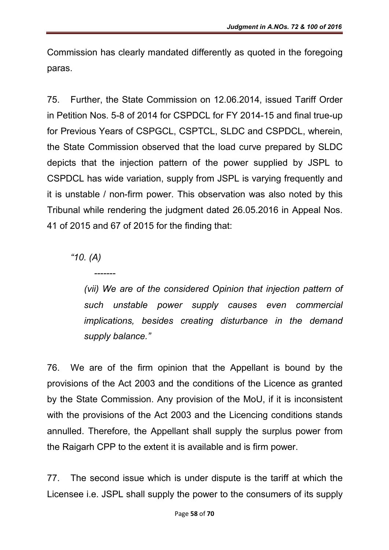Commission has clearly mandated differently as quoted in the foregoing paras.

75. Further, the State Commission on 12.06.2014, issued Tariff Order in Petition Nos. 5-8 of 2014 for CSPDCL for FY 2014-15 and final true-up for Previous Years of CSPGCL, CSPTCL, SLDC and CSPDCL, wherein, the State Commission observed that the load curve prepared by SLDC depicts that the injection pattern of the power supplied by JSPL to CSPDCL has wide variation, supply from JSPL is varying frequently and it is unstable / non-firm power. This observation was also noted by this Tribunal while rendering the judgment dated 26.05.2016 in Appeal Nos. 41 of 2015 and 67 of 2015 for the finding that:

*"10. (A)*

*-------*

*(vii)* We are of the considered Opinion that injection pattern of *such unstable power supply causes even commercial implications, besides creating disturbance in the demand supply balance."*

76. We are of the firm opinion that the Appellant is bound by the provisions of the Act 2003 and the conditions of the Licence as granted by the State Commission. Any provision of the MoU, if it is inconsistent with the provisions of the Act 2003 and the Licencing conditions stands annulled. Therefore, the Appellant shall supply the surplus power from the Raigarh CPP to the extent it is available and is firm power.

77. The second issue which is under dispute is the tariff at which the Licensee i.e. JSPL shall supply the power to the consumers of its supply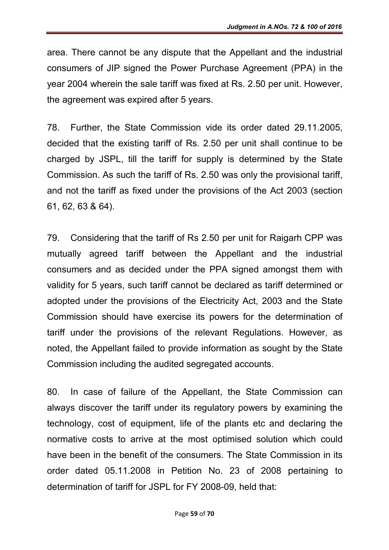area. There cannot be any dispute that the Appellant and the industrial consumers of JIP signed the Power Purchase Agreement (PPA) in the year 2004 wherein the sale tariff was fixed at Rs. 2.50 per unit. However, the agreement was expired after 5 years.

78. Further, the State Commission vide its order dated 29.11.2005, decided that the existing tariff of Rs. 2.50 per unit shall continue to be charged by JSPL, till the tariff for supply is determined by the State Commission. As such the tariff of Rs. 2.50 was only the provisional tariff, and not the tariff as fixed under the provisions of the Act 2003 (section 61, 62, 63 & 64).

79. Considering that the tariff of Rs 2.50 per unit for Raigarh CPP was mutually agreed tariff between the Appellant and the industrial consumers and as decided under the PPA signed amongst them with validity for 5 years, such tariff cannot be declared as tariff determined or adopted under the provisions of the Electricity Act, 2003 and the State Commission should have exercise its powers for the determination of tariff under the provisions of the relevant Regulations. However, as noted, the Appellant failed to provide information as sought by the State Commission including the audited segregated accounts.

80. In case of failure of the Appellant, the State Commission can always discover the tariff under its regulatory powers by examining the technology, cost of equipment, life of the plants etc and declaring the normative costs to arrive at the most optimised solution which could have been in the benefit of the consumers. The State Commission in its order dated 05.11.2008 in Petition No. 23 of 2008 pertaining to determination of tariff for JSPL for FY 2008-09, held that: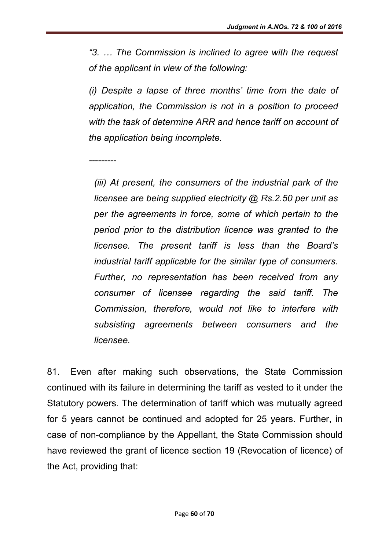*"3. … The Commission is inclined to agree with the request of the applicant in view of the following:*

*(i) Despite a lapse of three months' time from the date of application, the Commission is not in a position to proceed with the task of determine ARR and hence tariff on account of the application being incomplete.*

*---------*

*(iii) At present, the consumers of the industrial park of the licensee are being supplied electricity @ Rs.2.50 per unit as per the agreements in force, some of which pertain to the period prior to the distribution licence was granted to the licensee. The present tariff is less than the Board's industrial tariff applicable for the similar type of consumers. Further, no representation has been received from any consumer of licensee regarding the said tariff. The Commission, therefore, would not like to interfere with subsisting agreements between consumers and the licensee.*

81. Even after making such observations, the State Commission continued with its failure in determining the tariff as vested to it under the Statutory powers. The determination of tariff which was mutually agreed for 5 years cannot be continued and adopted for 25 years. Further, in case of non-compliance by the Appellant, the State Commission should have reviewed the grant of licence section 19 (Revocation of licence) of the Act, providing that: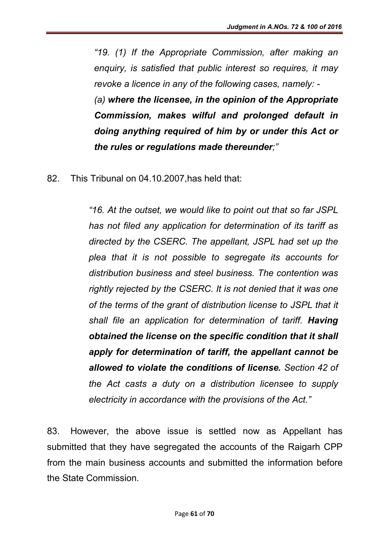*"19. (1) If the Appropriate Commission, after making an enquiry, is satisfied that public interest so requires, it may revoke a licence in any of the following cases, namely: - (a) where the licensee, in the opinion of the Appropriate Commission, makes wilful and prolonged default in doing anything required of him by or under this Act or the rules or regulations made thereunder;"* 

82. This Tribunal on 04.10.2007,has held that:

*"16. At the outset, we would like to point out that so far JSPL has not filed any application for determination of its tariff as directed by the CSERC. The appellant, JSPL had set up the plea that it is not possible to segregate its accounts for distribution business and steel business. The contention was rightly rejected by the CSERC. It is not denied that it was one of the terms of the grant of distribution license to JSPL that it shall file an application for determination of tariff. Having obtained the license on the specific condition that it shall apply for determination of tariff, the appellant cannot be allowed to violate the conditions of license. Section 42 of the Act casts a duty on a distribution licensee to supply electricity in accordance with the provisions of the Act."*

83. However, the above issue is settled now as Appellant has submitted that they have segregated the accounts of the Raigarh CPP from the main business accounts and submitted the information before the State Commission.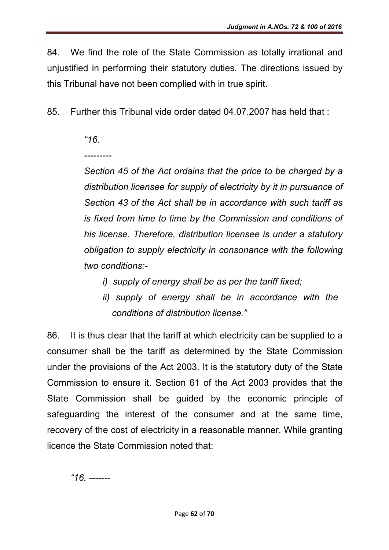84. We find the role of the State Commission as totally irrational and unjustified in performing their statutory duties. The directions issued by this Tribunal have not been complied with in true spirit.

85. Further this Tribunal vide order dated 04.07.2007 has held that :

## *"16.*

*---------*

*Section 45 of the Act ordains that the price to be charged by a distribution licensee for supply of electricity by it in pursuance of Section 43 of the Act shall be in accordance with such tariff as is fixed from time to time by the Commission and conditions of his license. Therefore, distribution licensee is under a statutory obligation to supply electricity in consonance with the following two conditions:-*

- *i) supply of energy shall be as per the tariff fixed;*
- *ii) supply of energy shall be in accordance with the conditions of distribution license."*

86. It is thus clear that the tariff at which electricity can be supplied to a consumer shall be the tariff as determined by the State Commission under the provisions of the Act 2003. It is the statutory duty of the State Commission to ensure it. Section 61 of the Act 2003 provides that the State Commission shall be guided by the economic principle of safeguarding the interest of the consumer and at the same time, recovery of the cost of electricity in a reasonable manner. While granting licence the State Commission noted that:

*"16. -------*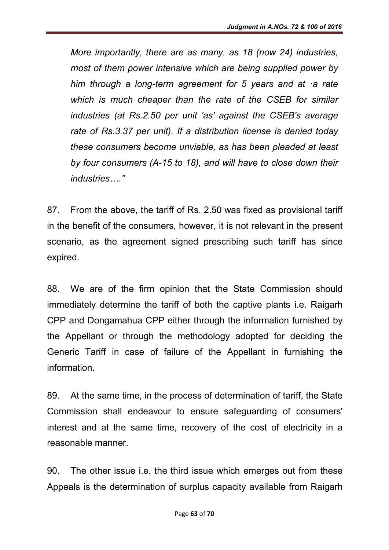*More importantly, there are as many. as 18 (now 24) industries, most of them power intensive which are being supplied power by him through a long-term agreement for 5 years and at ·a rate which is much cheaper than the rate of the CSEB for similar industries (at Rs.2.50 per unit 'as' against the CSEB's average rate of Rs.3.37 per unit). If a distribution license is denied today these consumers become unviable, as has been pleaded at least by four consumers (A-15 to 18), and will have to close down their industries…."*

87. From the above, the tariff of Rs. 2.50 was fixed as provisional tariff in the benefit of the consumers, however, it is not relevant in the present scenario, as the agreement signed prescribing such tariff has since expired.

88. We are of the firm opinion that the State Commission should immediately determine the tariff of both the captive plants i.e. Raigarh CPP and Dongamahua CPP either through the information furnished by the Appellant or through the methodology adopted for deciding the Generic Tariff in case of failure of the Appellant in furnishing the information.

89. At the same time, in the process of determination of tariff, the State Commission shall endeavour to ensure safeguarding of consumers' interest and at the same time, recovery of the cost of electricity in a reasonable manner.

90. The other issue i.e. the third issue which emerges out from these Appeals is the determination of surplus capacity available from Raigarh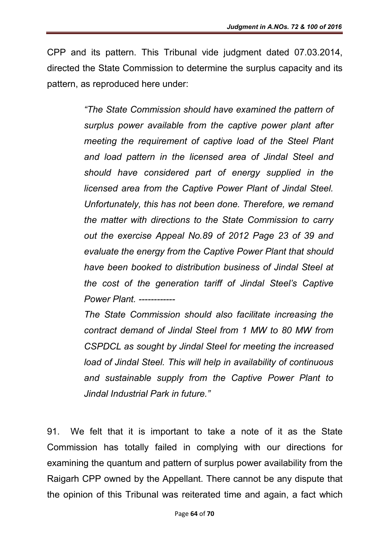CPP and its pattern. This Tribunal vide judgment dated 07.03.2014, directed the State Commission to determine the surplus capacity and its pattern, as reproduced here under:

> *"The State Commission should have examined the pattern of surplus power available from the captive power plant after meeting the requirement of captive load of the Steel Plant and load pattern in the licensed area of Jindal Steel and should have considered part of energy supplied in the licensed area from the Captive Power Plant of Jindal Steel. Unfortunately, this has not been done. Therefore, we remand the matter with directions to the State Commission to carry out the exercise Appeal No.89 of 2012 Page 23 of 39 and evaluate the energy from the Captive Power Plant that should have been booked to distribution business of Jindal Steel at the cost of the generation tariff of Jindal Steel's Captive Power Plant. ------------*

> *The State Commission should also facilitate increasing the contract demand of Jindal Steel from 1 MW to 80 MW from CSPDCL as sought by Jindal Steel for meeting the increased load of Jindal Steel. This will help in availability of continuous and sustainable supply from the Captive Power Plant to Jindal Industrial Park in future."*

91. We felt that it is important to take a note of it as the State Commission has totally failed in complying with our directions for examining the quantum and pattern of surplus power availability from the Raigarh CPP owned by the Appellant. There cannot be any dispute that the opinion of this Tribunal was reiterated time and again, a fact which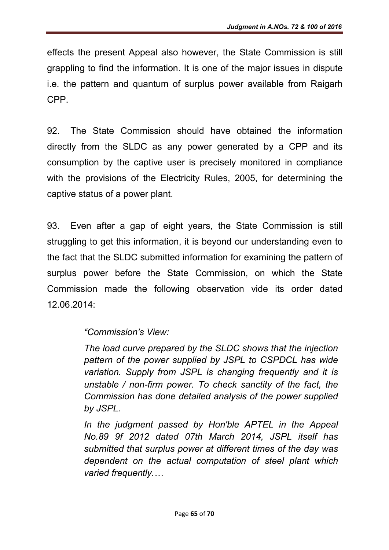effects the present Appeal also however, the State Commission is still grappling to find the information. It is one of the major issues in dispute i.e. the pattern and quantum of surplus power available from Raigarh CPP.

92. The State Commission should have obtained the information directly from the SLDC as any power generated by a CPP and its consumption by the captive user is precisely monitored in compliance with the provisions of the Electricity Rules, 2005, for determining the captive status of a power plant.

93. Even after a gap of eight years, the State Commission is still struggling to get this information, it is beyond our understanding even to the fact that the SLDC submitted information for examining the pattern of surplus power before the State Commission, on which the State Commission made the following observation vide its order dated 12.06.2014:

## *"Commission's View:*

*The load curve prepared by the SLDC shows that the injection pattern of the power supplied by JSPL to CSPDCL has wide variation. Supply from JSPL is changing frequently and it is unstable / non-firm power. To check sanctity of the fact, the Commission has done detailed analysis of the power supplied by JSPL.*

In the judgment passed by Hon'ble APTEL in the Appeal *No.89 9f 2012 dated 07th March 2014, JSPL itself has submitted that surplus power at different times of the day was dependent on the actual computation of steel plant which varied frequently.…*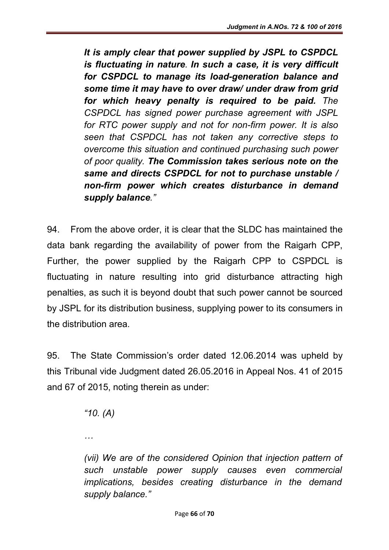*It is amply clear that power supplied by JSPL to CSPDCL is fluctuating in nature. In such a case, it is very difficult for CSPDCL to manage its load-generation balance and some time it may have to over draw/ under draw from grid for which heavy penalty is required to be paid. The CSPDCL has signed power purchase agreement with JSPL for RTC power supply and not for non-firm power. It is also seen that CSPDCL has not taken any corrective steps to overcome this situation and continued purchasing such power of poor quality. The Commission takes serious note on the same and directs CSPDCL for not to purchase unstable / non-firm power which creates disturbance in demand supply balance."*

94. From the above order, it is clear that the SLDC has maintained the data bank regarding the availability of power from the Raigarh CPP, Further, the power supplied by the Raigarh CPP to CSPDCL is fluctuating in nature resulting into grid disturbance attracting high penalties, as such it is beyond doubt that such power cannot be sourced by JSPL for its distribution business, supplying power to its consumers in the distribution area.

95. The State Commission's order dated 12.06.2014 was upheld by this Tribunal vide Judgment dated 26.05.2016 in Appeal Nos. 41 of 2015 and 67 of 2015, noting therein as under:

*"10. (A)*

*…*

*(vii)* We are of the considered Opinion that injection pattern of *such unstable power supply causes even commercial implications, besides creating disturbance in the demand supply balance."*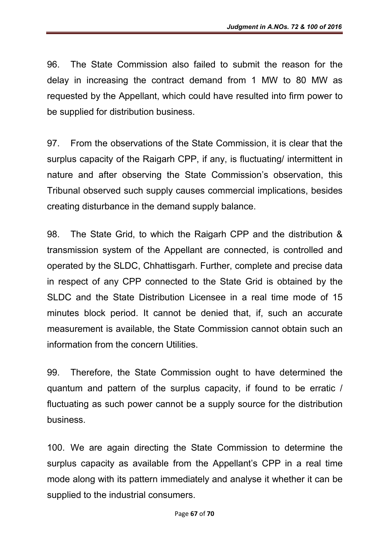96. The State Commission also failed to submit the reason for the delay in increasing the contract demand from 1 MW to 80 MW as requested by the Appellant, which could have resulted into firm power to be supplied for distribution business.

97. From the observations of the State Commission, it is clear that the surplus capacity of the Raigarh CPP, if any, is fluctuating/ intermittent in nature and after observing the State Commission's observation, this Tribunal observed such supply causes commercial implications, besides creating disturbance in the demand supply balance.

98. The State Grid, to which the Raigarh CPP and the distribution & transmission system of the Appellant are connected, is controlled and operated by the SLDC, Chhattisgarh. Further, complete and precise data in respect of any CPP connected to the State Grid is obtained by the SLDC and the State Distribution Licensee in a real time mode of 15 minutes block period. It cannot be denied that, if, such an accurate measurement is available, the State Commission cannot obtain such an information from the concern Utilities.

99. Therefore, the State Commission ought to have determined the quantum and pattern of the surplus capacity, if found to be erratic / fluctuating as such power cannot be a supply source for the distribution business.

100. We are again directing the State Commission to determine the surplus capacity as available from the Appellant's CPP in a real time mode along with its pattern immediately and analyse it whether it can be supplied to the industrial consumers.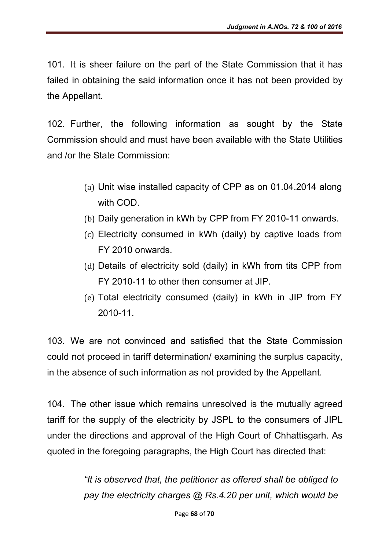101. It is sheer failure on the part of the State Commission that it has failed in obtaining the said information once it has not been provided by the Appellant.

102. Further, the following information as sought by the State Commission should and must have been available with the State Utilities and /or the State Commission:

- (a) Unit wise installed capacity of CPP as on 01.04.2014 along with COD.
- (b) Daily generation in kWh by CPP from FY 2010-11 onwards.
- (c) Electricity consumed in kWh (daily) by captive loads from FY 2010 onwards.
- (d) Details of electricity sold (daily) in kWh from tits CPP from FY 2010-11 to other then consumer at JIP.
- (e) Total electricity consumed (daily) in kWh in JIP from FY 2010-11.

103. We are not convinced and satisfied that the State Commission could not proceed in tariff determination/ examining the surplus capacity, in the absence of such information as not provided by the Appellant.

104. The other issue which remains unresolved is the mutually agreed tariff for the supply of the electricity by JSPL to the consumers of JIPL under the directions and approval of the High Court of Chhattisgarh. As quoted in the foregoing paragraphs, the High Court has directed that:

> *"It is observed that, the petitioner as offered shall be obliged to pay the electricity charges @ Rs.4.20 per unit, which would be*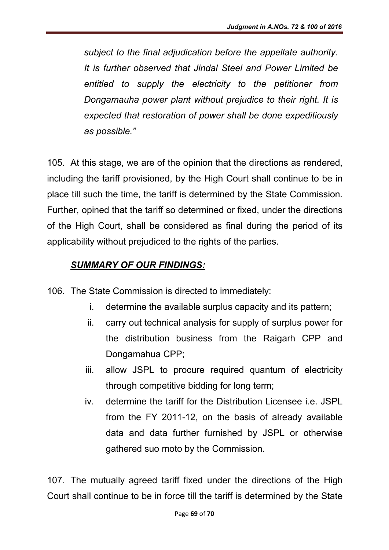*subject to the final adjudication before the appellate authority. It is further observed that Jindal Steel and Power Limited be entitled to supply the electricity to the petitioner from Dongamauha power plant without prejudice to their right. It is expected that restoration of power shall be done expeditiously as possible."*

105. At this stage, we are of the opinion that the directions as rendered, including the tariff provisioned, by the High Court shall continue to be in place till such the time, the tariff is determined by the State Commission. Further, opined that the tariff so determined or fixed, under the directions of the High Court, shall be considered as final during the period of its applicability without prejudiced to the rights of the parties.

## *SUMMARY OF OUR FINDINGS:*

- 106. The State Commission is directed to immediately:
	- i. determine the available surplus capacity and its pattern;
	- ii. carry out technical analysis for supply of surplus power for the distribution business from the Raigarh CPP and Dongamahua CPP;
	- iii. allow JSPL to procure required quantum of electricity through competitive bidding for long term;
	- iv. determine the tariff for the Distribution Licensee i.e. JSPL from the FY 2011-12, on the basis of already available data and data further furnished by JSPL or otherwise gathered suo moto by the Commission.

107. The mutually agreed tariff fixed under the directions of the High Court shall continue to be in force till the tariff is determined by the State